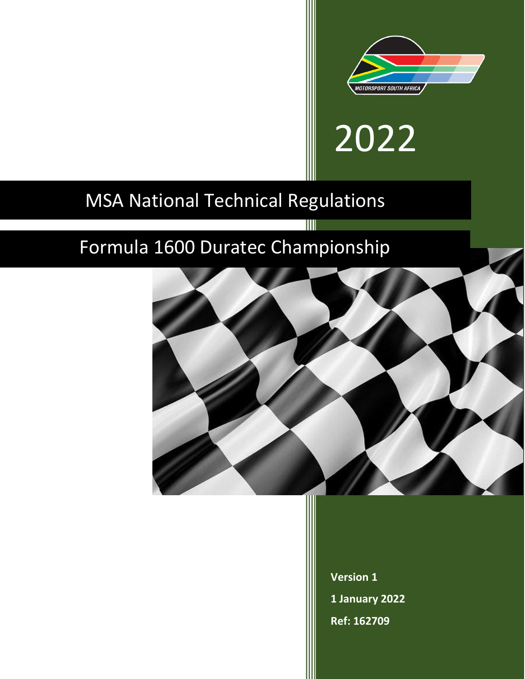

# 2022

## MSA National Technical Regulations

# Formula 1600 Duratec Championship



Ш

**Version 1 1 January 2022 Ref: 162709**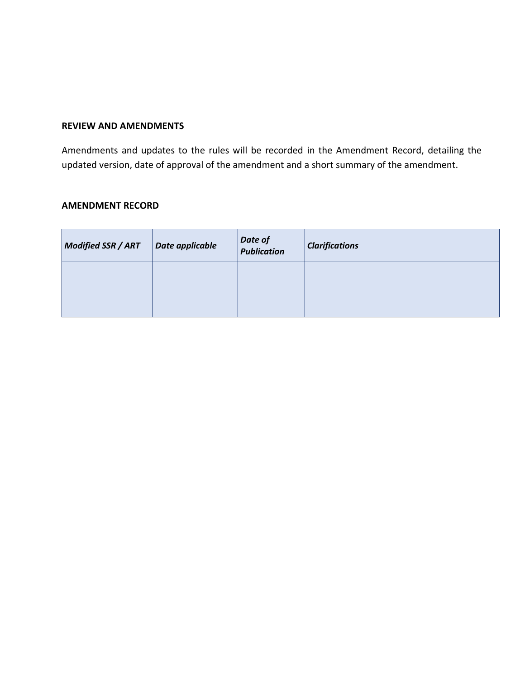#### **REVIEW AND AMENDMENTS**

Amendments and updates to the rules will be recorded in the Amendment Record, detailing the updated version, date of approval of the amendment and a short summary of the amendment.

#### **AMENDMENT RECORD**

| Modified SSR / ART | Date applicable | Date of<br>Publication | <b>Clarifications</b> |
|--------------------|-----------------|------------------------|-----------------------|
|                    |                 |                        |                       |
|                    |                 |                        |                       |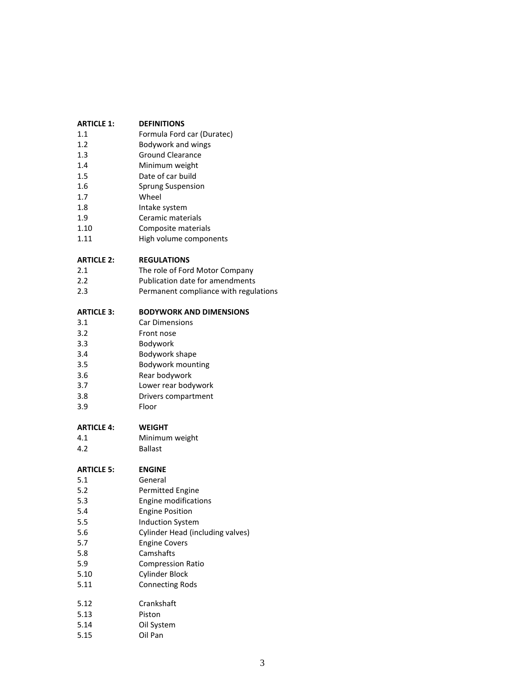| <b>ARTICLE 1:</b> | <b>DEFINITIONS</b>                     |
|-------------------|----------------------------------------|
| 1.1               | Formula Ford car (Duratec)             |
| 1.2               | Bodywork and wings                     |
| 1.3               | <b>Ground Clearance</b>                |
| 1.4               | Minimum weight                         |
| 1.5               | Date of car build                      |
| 1.6               | <b>Sprung Suspension</b>               |
| 1.7               | Wheel                                  |
| 1.8               | Intake system                          |
| 1.9               | Ceramic materials                      |
| 1.10              | Composite materials                    |
| 1.11              | High volume components                 |
| <b>ARTICLE 2:</b> | <b>REGULATIONS</b>                     |
| 2.1               | The role of Ford Motor Company         |
| 2.2               | <b>Publication date for amendments</b> |
| 2.3               | Permanent compliance with regulations  |
| <b>ARTICLE 3:</b> | <b>BODYWORK AND DIMENSIONS</b>         |
| 3.1               | <b>Car Dimensions</b>                  |
| 3.2               | Front nose                             |
| 3.3               | Bodywork                               |
| 3.4               | Bodywork shape                         |
| 3.5               | Bodywork mounting                      |
| 3.6               | Rear bodywork                          |
| 3.7               | Lower rear bodywork                    |
| 3.8               | Drivers compartment                    |
| 3.9               | Floor                                  |
| <b>ARTICLE 4:</b> | <b>WEIGHT</b>                          |
| 4.1               | Minimum weight                         |
| 4.2               | <b>Ballast</b>                         |
| <b>ARTICLE 5:</b> | <b>ENGINE</b>                          |
| 5.1               | General                                |
| 5.2               | <b>Permitted Engine</b>                |
| 5.3               | Engine modifications                   |
| 5.4               | <b>Engine Position</b>                 |
| 5.5               | <b>Induction System</b>                |
| 5.6               | Cylinder Head (including valves)       |
| 5.7               | <b>Engine Covers</b>                   |
| 5.8               | Camshafts                              |
| 5.9               | <b>Compression Ratio</b>               |
| 5.10              | <b>Cylinder Block</b>                  |
| 5.11              | <b>Connecting Rods</b>                 |
| 5.12              | Crankshaft                             |
| 5.13              | Piston                                 |
| 5.14              | Oil System                             |

5.15 Oil Pan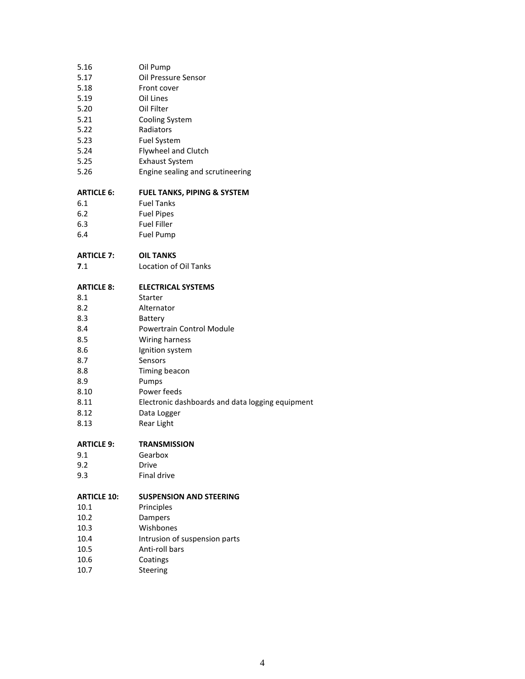| 5.16               | Oil Pump                                         |
|--------------------|--------------------------------------------------|
| 5.17               | Oil Pressure Sensor                              |
| 5.18               | Front cover                                      |
| 5.19               | Oil Lines                                        |
| 5.20               | Oil Filter                                       |
| 5.21               | Cooling System                                   |
| 5.22               | Radiators                                        |
| 5.23               | <b>Fuel System</b>                               |
| 5.24               | Flywheel and Clutch                              |
| 5.25               | <b>Exhaust System</b>                            |
| 5.26               | Engine sealing and scrutineering                 |
|                    |                                                  |
| <b>ARTICLE 6:</b>  | <b>FUEL TANKS, PIPING &amp; SYSTEM</b>           |
| 6.1                | <b>Fuel Tanks</b>                                |
| 6.2                | <b>Fuel Pipes</b>                                |
| 6.3                | <b>Fuel Filler</b>                               |
| 6.4                | <b>Fuel Pump</b>                                 |
| <b>ARTICLE 7:</b>  | <b>OIL TANKS</b>                                 |
| 7.1                | <b>Location of Oil Tanks</b>                     |
|                    |                                                  |
| <b>ARTICLE 8:</b>  | <b>ELECTRICAL SYSTEMS</b>                        |
| 8.1                | Starter                                          |
| 8.2                | Alternator                                       |
| 8.3                | Battery                                          |
| 8.4                | Powertrain Control Module                        |
| 8.5                | Wiring harness                                   |
| 8.6                | Ignition system                                  |
| 8.7                | Sensors                                          |
| 8.8                | Timing beacon                                    |
| 8.9                | Pumps                                            |
| 8.10               | Power feeds                                      |
| 8.11               | Electronic dashboards and data logging equipment |
| 8.12               | Data Logger                                      |
| 8.13               | Rear Light                                       |
| <b>ARTICLE 9:</b>  | <b>TRANSMISSION</b>                              |
| 9.1                | Gearbox                                          |
| 9.2                | Drive                                            |
| 9.3                | Final drive                                      |
|                    |                                                  |
| <b>ARTICLE 10:</b> | <b>SUSPENSION AND STEERING</b>                   |
| 10.1               | Principles                                       |
| 10.2               | Dampers                                          |
| 10.3               | Wishbones                                        |
| 10.4               | Intrusion of suspension parts                    |
| 10.5               | Anti-roll bars                                   |
| 10.6               | Coatings                                         |

10.7 Steering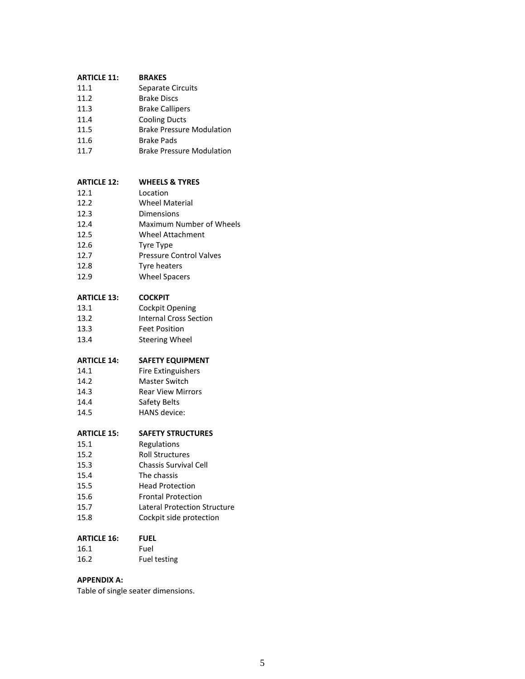| <b>ARTICLE 11:</b> | <b>BRAKES</b>     |
|--------------------|-------------------|
| 11.1               | Separate Circuits |

- 11.2 Brake Discs
- 11.3 Brake Callipers
- 11.4 Cooling Ducts
- 11.5 Brake Pressure Modulation
- 11.6 Brake Pads
- 11.7 Brake Pressure Modulation

#### **ARTICLE 12: WHEELS & TYRES**

| 12.1 | Location              |
|------|-----------------------|
| 12.2 | <b>Wheel Material</b> |
|      |                       |

- 12.3 Dimensions
- 12.4 Maximum Number of Wheels
- 12.5 Wheel Attachment
- 12.6 Tyre Type
- 12.7 Pressure Control Valves
- 12.8 Tyre heaters
- 12.9 Wheel Spacers

#### **ARTICLE 13: COCKPIT**

- 13.1 Cockpit Opening 13.2 Internal Cross Section 13.3 Feet Position
- 13.4 Steering Wheel

#### **ARTICLE 14: SAFETY EQUIPMENT**

- 14.1 Fire Extinguishers
- 14.2 Master Switch
- 14.3 Rear View Mirrors
- 14.4 Safety Belts
- 14.5 HANS device:

#### **ARTICLE 15: SAFETY STRUCTURES**

- 15.1 Regulations
- 15.2 Roll Structures
- 15.3 Chassis Survival Cell
- 15.4 The chassis
- 15.5 Head Protection 15.6 Frontal Protection
- 15.7 Lateral Protection Structure
- 15.8 Cockpit side protection

#### **ARTICLE 16: FUEL**

- 16.1 Fuel
- 16.2 Fuel testing

#### **APPENDIX A:**

Table of single seater dimensions.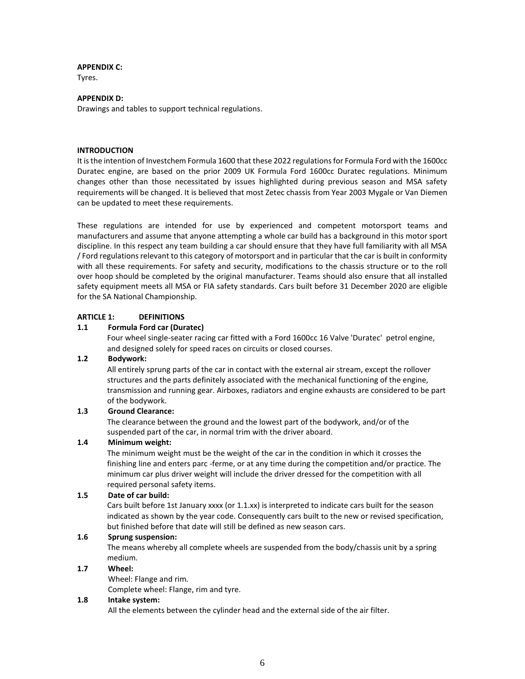#### **APPENDIX C:**

Tyres.

#### **APPENDIX D:**

Drawings and tables to support technical regulations.

#### **INTRODUCTION**

It is the intention of Investchem Formula 1600 that these 2022 regulations for Formula Ford with the 1600cc Duratec engine, are based on the prior 2009 UK Formula Ford 1600cc Duratec regulations. Minimum changes other than those necessitated by issues highlighted during previous season and MSA safety requirements will be changed. It is believed that most Zetec chassis from Year 2003 Mygale or Van Diemen can be updated to meet these requirements.

These regulations are intended for use by experienced and competent motorsport teams and manufacturers and assume that anyone attempting a whole car build has a background in this motor sport discipline. In this respect any team building a car should ensure that they have full familiarity with all MSA / Ford regulations relevant to this category of motorsport and in particular that the car is built in conformity with all these requirements. For safety and security, modifications to the chassis structure or to the roll over hoop should be completed by the original manufacturer. Teams should also ensure that all installed safety equipment meets all MSA or FIA safety standards. Cars built before 31 December 2020 are eligible for the SA National Championship.

#### **ARTICLE 1: DEFINITIONS**

#### **1.1 Formula Ford car (Duratec)**

Four wheel single-seater racing car fitted with a Ford 1600cc 16 Valve 'Duratec' petrol engine, and designed solely for speed races on circuits or closed courses.

#### **1.2 Bodywork:**

All entirely sprung parts of the car in contact with the external air stream, except the rollover structures and the parts definitely associated with the mechanical functioning of the engine, transmission and running gear. Airboxes, radiators and engine exhausts are considered to be part of the bodywork.

#### **1.3 Ground Clearance:**

The clearance between the ground and the lowest part of the bodywork, and/or of the suspended part of the car, in normal trim with the driver aboard.

#### **1.4 Minimum weight:**

The minimum weight must be the weight of the car in the condition in which it crosses the finishing line and enters parc -ferme, or at any time during the competition and/or practice. The minimum car plus driver weight will include the driver dressed for the competition with all required personal safety items.

#### **1.5 Date of car build:**

Cars built before 1st January xxxx (or 1.1.xx) is interpreted to indicate cars built for the season indicated as shown by the year code. Consequently cars built to the new or revised specification, but finished before that date will still be defined as new season cars.

#### **1.6 Sprung suspension:**

The means whereby all complete wheels are suspended from the body/chassis unit by a spring medium.

#### **1.7 Wheel:**

Wheel: Flange and rim. Complete wheel: Flange, rim and tyre.

#### **1.8 Intake system:**

All the elements between the cylinder head and the external side of the air filter.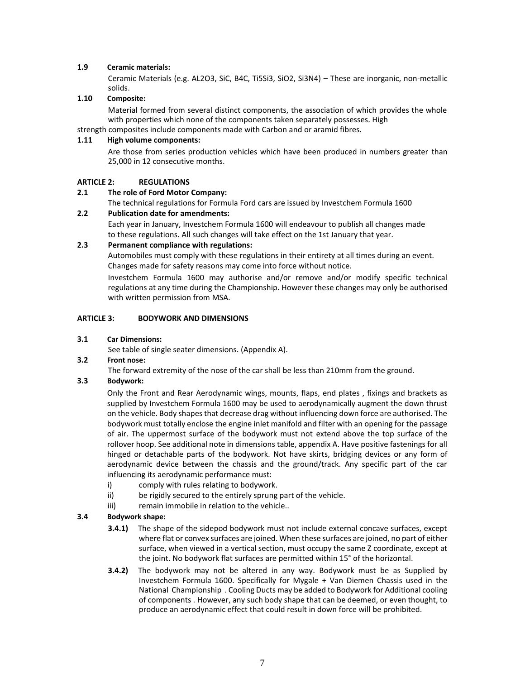#### **1.9 Ceramic materials:**

Ceramic Materials (e.g. AL2O3, SiC, B4C, Ti5Si3, SiO2, Si3N4) – These are inorganic, non-metallic solids.

#### **1.10 Composite:**

Material formed from several distinct components, the association of which provides the whole with properties which none of the components taken separately possesses. High

strength composites include components made with Carbon and or aramid fibres.

#### **1.11 High volume components:**

Are those from series production vehicles which have been produced in numbers greater than 25,000 in 12 consecutive months.

#### **ARTICLE 2: REGULATIONS**

#### **2.1 The role of Ford Motor Company:**

The technical regulations for Formula Ford cars are issued by Investchem Formula 1600

#### **2.2 Publication date for amendments:**

Each year in January, Investchem Formula 1600 will endeavour to publish all changes made to these regulations. All such changes will take effect on the 1st January that year.

#### **2.3 Permanent compliance with regulations:**

Automobiles must comply with these regulations in their entirety at all times during an event. Changes made for safety reasons may come into force without notice.

Investchem Formula 1600 may authorise and/or remove and/or modify specific technical regulations at any time during the Championship. However these changes may only be authorised with written permission from MSA.

#### **ARTICLE 3: BODYWORK AND DIMENSIONS**

#### **3.1 Car Dimensions:**

See table of single seater dimensions. (Appendix A).

#### **3.2 Front nose:**

The forward extremity of the nose of the car shall be less than 210mm from the ground.

#### **3.3 Bodywork:**

Only the Front and Rear Aerodynamic wings, mounts, flaps, end plates , fixings and brackets as supplied by Investchem Formula 1600 may be used to aerodynamically augment the down thrust on the vehicle. Body shapes that decrease drag without influencing down force are authorised. The bodywork must totally enclose the engine inlet manifold and filter with an opening for the passage of air. The uppermost surface of the bodywork must not extend above the top surface of the rollover hoop. See additional note in dimensions table, appendix A. Have positive fastenings for all hinged or detachable parts of the bodywork. Not have skirts, bridging devices or any form of aerodynamic device between the chassis and the ground/track. Any specific part of the car influencing its aerodynamic performance must:

- i) comply with rules relating to bodywork.
- ii) be rigidly secured to the entirely sprung part of the vehicle.
- iii) remain immobile in relation to the vehicle..

#### **3.4 Bodywork shape:**

- **3.4.1)** The shape of the sidepod bodywork must not include external concave surfaces, except where flat or convex surfaces are joined. When these surfaces are joined, no part of either surface, when viewed in a vertical section, must occupy the same Z coordinate, except at the joint. No bodywork flat surfaces are permitted within 15° of the horizontal.
- **3.4.2)** The bodywork may not be altered in any way. Bodywork must be as Supplied by Investchem Formula 1600. Specifically for Mygale + Van Diemen Chassis used in the National Championship . Cooling Ducts may be added to Bodywork for Additional cooling of components . However, any such body shape that can be deemed, or even thought, to produce an aerodynamic effect that could result in down force will be prohibited.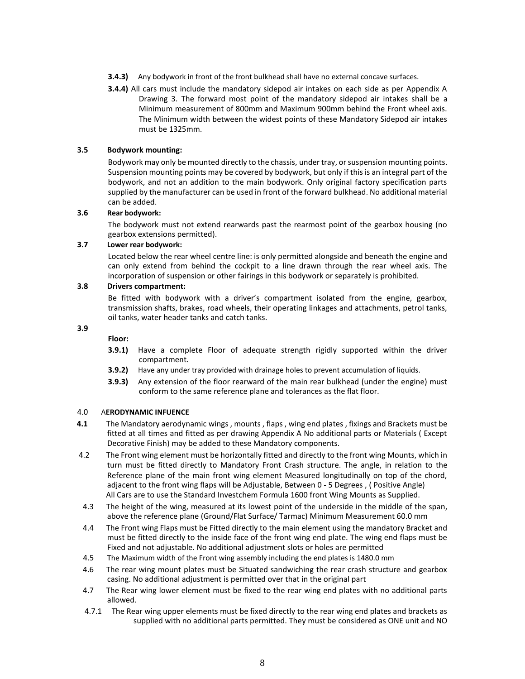- **3.4.3)** Any bodywork in front of the front bulkhead shall have no external concave surfaces.
- **3.4.4)** All cars must include the mandatory sidepod air intakes on each side as per Appendix A Drawing 3. The forward most point of the mandatory sidepod air intakes shall be a Minimum measurement of 800mm and Maximum 900mm behind the Front wheel axis. The Minimum width between the widest points of these Mandatory Sidepod air intakes must be 1325mm.

#### **3.5 Bodywork mounting:**

Bodywork may only be mounted directly to the chassis, under tray, or suspension mounting points. Suspension mounting points may be covered by bodywork, but only if this is an integral part of the bodywork, and not an addition to the main bodywork. Only original factory specification parts supplied by the manufacturer can be used in front of the forward bulkhead. No additional material can be added.

#### **3.6 Rear bodywork:**

The bodywork must not extend rearwards past the rearmost point of the gearbox housing (no gearbox extensions permitted).

#### **3.7 Lower rear bodywork:**

Located below the rear wheel centre line: is only permitted alongside and beneath the engine and can only extend from behind the cockpit to a line drawn through the rear wheel axis. The incorporation of suspension or other fairings in this bodywork or separately is prohibited.

#### **3.8 Drivers compartment:**

Be fitted with bodywork with a driver's compartment isolated from the engine, gearbox, transmission shafts, brakes, road wheels, their operating linkages and attachments, petrol tanks, oil tanks, water header tanks and catch tanks.

#### **3.9**

**Floor:**

- **3.9.1)** Have a complete Floor of adequate strength rigidly supported within the driver compartment.
- **3.9.2)** Have any under tray provided with drainage holes to prevent accumulation of liquids.
- **3.9.3)** Any extension of the floor rearward of the main rear bulkhead (under the engine) must conform to the same reference plane and tolerances as the flat floor.

#### 4.0 A**ERODYNAMIC INFUENCE**

- **4.1** The Mandatory aerodynamic wings , mounts , flaps , wing end plates , fixings and Brackets must be fitted at all times and fitted as per drawing Appendix A No additional parts or Materials ( Except Decorative Finish) may be added to these Mandatory components.
- 4.2 The Front wing element must be horizontally fitted and directly to the front wing Mounts, which in turn must be fitted directly to Mandatory Front Crash structure. The angle, in relation to the Reference plane of the main front wing element Measured longitudinally on top of the chord, adjacent to the front wing flaps will be Adjustable, Between 0 - 5 Degrees , ( Positive Angle) All Cars are to use the Standard Investchem Formula 1600 front Wing Mounts as Supplied.
- 4.3 The height of the wing, measured at its lowest point of the underside in the middle of the span, above the reference plane (Ground/Flat Surface/ Tarmac) Minimum Measurement 60.0 mm
- 4.4 The Front wing Flaps must be Fitted directly to the main element using the mandatory Bracket and must be fitted directly to the inside face of the front wing end plate. The wing end flaps must be Fixed and not adjustable. No additional adjustment slots or holes are permitted
- 4.5 The Maximum width of the Front wing assembly including the end plates is 1480.0 mm
- 4.6 The rear wing mount plates must be Situated sandwiching the rear crash structure and gearbox casing. No additional adjustment is permitted over that in the original part
- 4.7 The Rear wing lower element must be fixed to the rear wing end plates with no additional parts allowed.
- 4.7.1 The Rear wing upper elements must be fixed directly to the rear wing end plates and brackets as supplied with no additional parts permitted. They must be considered as ONE unit and NO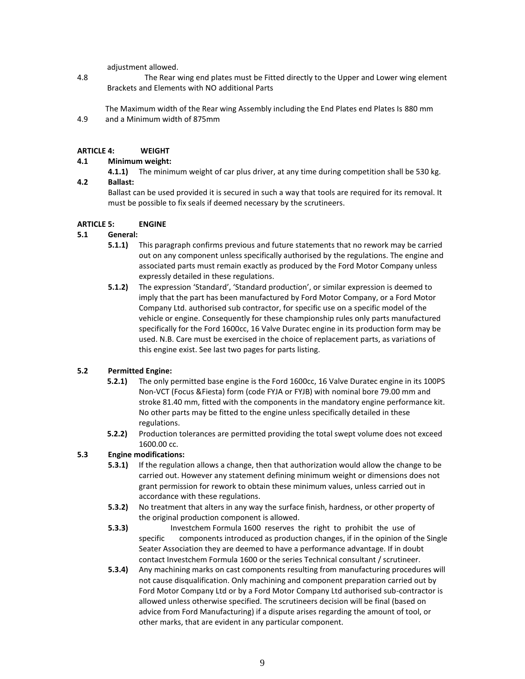adjustment allowed.

- 4.8 The Rear wing end plates must be Fitted directly to the Upper and Lower wing element Brackets and Elements with NO additional Parts
- 4.9 The Maximum width of the Rear wing Assembly including the End Plates end Plates Is 880 mm and a Minimum width of 875mm

#### **ARTICLE 4: WEIGHT**

#### **4.1 Minimum weight:**

**4.1.1)** The minimum weight of car plus driver, at any time during competition shall be 530 kg. **4.2 Ballast:**

#### Ballast can be used provided it is secured in such a way that tools are required for its removal. It must be possible to fix seals if deemed necessary by the scrutineers.

#### **ARTICLE 5: ENGINE**

#### **5.1 General:**

- **5.1.1)** This paragraph confirms previous and future statements that no rework may be carried out on any component unless specifically authorised by the regulations. The engine and associated parts must remain exactly as produced by the Ford Motor Company unless expressly detailed in these regulations.
- **5.1.2)** The expression 'Standard', 'Standard production', or similar expression is deemed to imply that the part has been manufactured by Ford Motor Company, or a Ford Motor Company Ltd. authorised sub contractor, for specific use on a specific model of the vehicle or engine. Consequently for these championship rules only parts manufactured specifically for the Ford 1600cc, 16 Valve Duratec engine in its production form may be used. N.B. Care must be exercised in the choice of replacement parts, as variations of this engine exist. See last two pages for parts listing.

#### **5.2 Permitted Engine:**

- **5.2.1)** The only permitted base engine is the Ford 1600cc, 16 Valve Duratec engine in its 100PS Non-VCT (Focus &Fiesta) form (code FYJA or FYJB) with nominal bore 79.00 mm and stroke 81.40 mm, fitted with the components in the mandatory engine performance kit. No other parts may be fitted to the engine unless specifically detailed in these regulations.
- **5.2.2)** Production tolerances are permitted providing the total swept volume does not exceed 1600.00 cc.

#### **5.3 Engine modifications:**

- **5.3.1)** If the regulation allows a change, then that authorization would allow the change to be carried out. However any statement defining minimum weight or dimensions does not grant permission for rework to obtain these minimum values, unless carried out in accordance with these regulations.
- **5.3.2)** No treatment that alters in any way the surface finish, hardness, or other property of the original production component is allowed.
- **5.3.3)** Investchem Formula 1600 reserves the right to prohibit the use of specific components introduced as production changes, if in the opinion of the Single Seater Association they are deemed to have a performance advantage. If in doubt contact Investchem Formula 1600 or the series Technical consultant / scrutineer.
- **5.3.4)** Any machining marks on cast components resulting from manufacturing procedures will not cause disqualification. Only machining and component preparation carried out by Ford Motor Company Ltd or by a Ford Motor Company Ltd authorised sub-contractor is allowed unless otherwise specified. The scrutineers decision will be final (based on advice from Ford Manufacturing) if a dispute arises regarding the amount of tool, or other marks, that are evident in any particular component.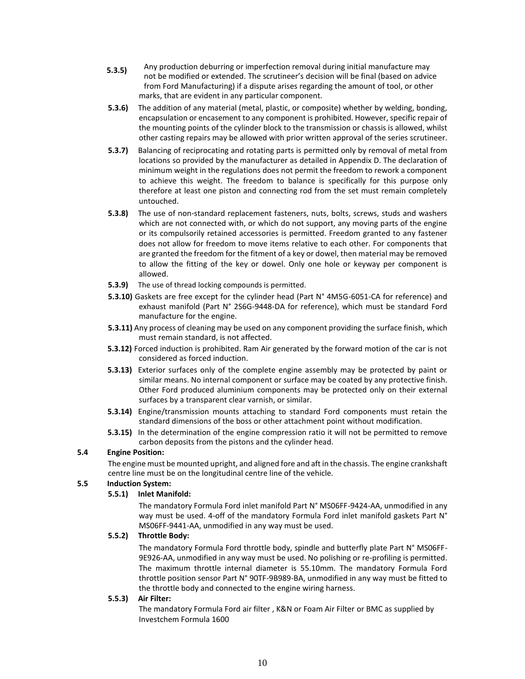- Any production deburring or imperfection removal during initial manufacture may not be modified or extended. The scrutineer's decision will be final (based on advice from Ford Manufacturing) if a dispute arises regarding the amount of tool, or other marks, that are evident in any particular component. **5.3.5)**
- **5.3.6)** The addition of any material (metal, plastic, or composite) whether by welding, bonding, encapsulation or encasement to any component is prohibited. However, specific repair of the mounting points of the cylinder block to the transmission or chassis is allowed, whilst other casting repairs may be allowed with prior written approval of the series scrutineer.
- **5.3.7)** Balancing of reciprocating and rotating parts is permitted only by removal of metal from locations so provided by the manufacturer as detailed in Appendix D. The declaration of minimum weight in the regulations does not permit the freedom to rework a component to achieve this weight. The freedom to balance is specifically for this purpose only therefore at least one piston and connecting rod from the set must remain completely untouched.
- **5.3.8)** The use of non-standard replacement fasteners, nuts, bolts, screws, studs and washers which are not connected with, or which do not support, any moving parts of the engine or its compulsorily retained accessories is permitted. Freedom granted to any fastener does not allow for freedom to move items relative to each other. For components that are granted the freedom for the fitment of a key or dowel, then material may be removed to allow the fitting of the key or dowel. Only one hole or keyway per component is allowed.
- **5.3.9)** The use of thread locking compounds is permitted.
- **5.3.10)** Gaskets are free except for the cylinder head (Part N° 4M5G-6051-CA for reference) and exhaust manifold (Part N° 2S6G-9448-DA for reference), which must be standard Ford manufacture for the engine.
- **5.3.11)** Any process of cleaning may be used on any component providing the surface finish, which must remain standard, is not affected.
- **5.3.12)** Forced induction is prohibited. Ram Air generated by the forward motion of the car is not considered as forced induction.
- **5.3.13)** Exterior surfaces only of the complete engine assembly may be protected by paint or similar means. No internal component or surface may be coated by any protective finish. Other Ford produced aluminium components may be protected only on their external surfaces by a transparent clear varnish, or similar.
- **5.3.14)** Engine/transmission mounts attaching to standard Ford components must retain the standard dimensions of the boss or other attachment point without modification.
- **5.3.15)** In the determination of the engine compression ratio it will not be permitted to remove carbon deposits from the pistons and the cylinder head.

#### **5.4 Engine Position:**

The engine must be mounted upright, and aligned fore and aft in the chassis. The engine crankshaft centre line must be on the longitudinal centre line of the vehicle.

#### **5.5 Induction System:**

#### **5.5.1) Inlet Manifold:**

The mandatory Formula Ford inlet manifold Part N° MS06FF-9424-AA, unmodified in any way must be used. 4-off of the mandatory Formula Ford inlet manifold gaskets Part N° MS06FF-9441-AA, unmodified in any way must be used.

#### **5.5.2) Throttle Body:**

The mandatory Formula Ford throttle body, spindle and butterfly plate Part N° MS06FF-9E926-AA, unmodified in any way must be used. No polishing or re-profiling is permitted. The maximum throttle internal diameter is 55.10mm. The mandatory Formula Ford throttle position sensor Part N° 90TF-9B989-BA, unmodified in any way must be fitted to the throttle body and connected to the engine wiring harness.

#### **5.5.3) Air Filter:**

The mandatory Formula Ford air filter , K&N or Foam Air Filter or BMC as supplied by Investchem Formula 1600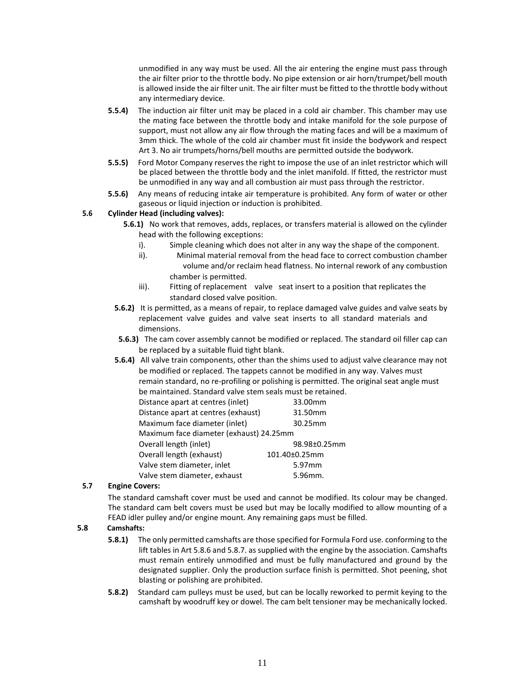unmodified in any way must be used. All the air entering the engine must pass through the air filter prior to the throttle body. No pipe extension or air horn/trumpet/bell mouth is allowed inside the air filter unit. The air filter must be fitted to the throttle body without any intermediary device.

- **5.5.4)** The induction air filter unit may be placed in a cold air chamber. This chamber may use the mating face between the throttle body and intake manifold for the sole purpose of support, must not allow any air flow through the mating faces and will be a maximum of 3mm thick. The whole of the cold air chamber must fit inside the bodywork and respect Art 3. No air trumpets/horns/bell mouths are permitted outside the bodywork.
- **5.5.5)** Ford Motor Company reserves the right to impose the use of an inlet restrictor which will be placed between the throttle body and the inlet manifold. If fitted, the restrictor must be unmodified in any way and all combustion air must pass through the restrictor.
- **5.5.6)** Any means of reducing intake air temperature is prohibited. Any form of water or other gaseous or liquid injection or induction is prohibited.

#### **5.6 Cylinder Head (including valves):**

- **5.6.1)** No work that removes, adds, replaces, or transfers material is allowed on the cylinder head with the following exceptions:
	- i). Simple cleaning which does not alter in any way the shape of the component.
	- ii). Minimal material removal from the head face to correct combustion chamber volume and/or reclaim head flatness. No internal rework of any combustion chamber is permitted.
	- iii). Fitting of replacement valve seat insert to a position that replicates the standard closed valve position.
- **5.6.2)** It is permitted, as a means of repair, to replace damaged valve guides and valve seats by replacement valve guides and valve seat inserts to all standard materials and dimensions.
- **5.6.3)** The cam cover assembly cannot be modified or replaced. The standard oil filler cap can be replaced by a suitable fluid tight blank.
- **5.6.4)** All valve train components, other than the shims used to adjust valve clearance may not be modified or replaced. The tappets cannot be modified in any way. Valves must remain standard, no re-profiling or polishing is permitted. The original seat angle must be maintained. Standard valve stem seals must be retained.

| Distance apart at centres (inlet)       | 33.00mm       |
|-----------------------------------------|---------------|
| Distance apart at centres (exhaust)     | 31.50mm       |
| Maximum face diameter (inlet)           | 30.25mm       |
| Maximum face diameter (exhaust) 24.25mm |               |
| Overall length (inlet)                  | 98.98±0.25mm  |
| Overall length (exhaust)                | 101.40±0.25mm |
| Valve stem diameter, inlet              | 5.97mm        |
| Valve stem diameter, exhaust            | 5.96mm.       |

#### **5.7 Engine Covers:**

The standard camshaft cover must be used and cannot be modified. Its colour may be changed. The standard cam belt covers must be used but may be locally modified to allow mounting of a FEAD idler pulley and/or engine mount. Any remaining gaps must be filled.

#### **5.8 Camshafts:**

- **5.8.1)** The only permitted camshafts are those specified for Formula Ford use. conforming to the lift tables in Art 5.8.6 and 5.8.7. as supplied with the engine by the association. Camshafts must remain entirely unmodified and must be fully manufactured and ground by the designated supplier. Only the production surface finish is permitted. Shot peening, shot blasting or polishing are prohibited.
- **5.8.2)** Standard cam pulleys must be used, but can be locally reworked to permit keying to the camshaft by woodruff key or dowel. The cam belt tensioner may be mechanically locked.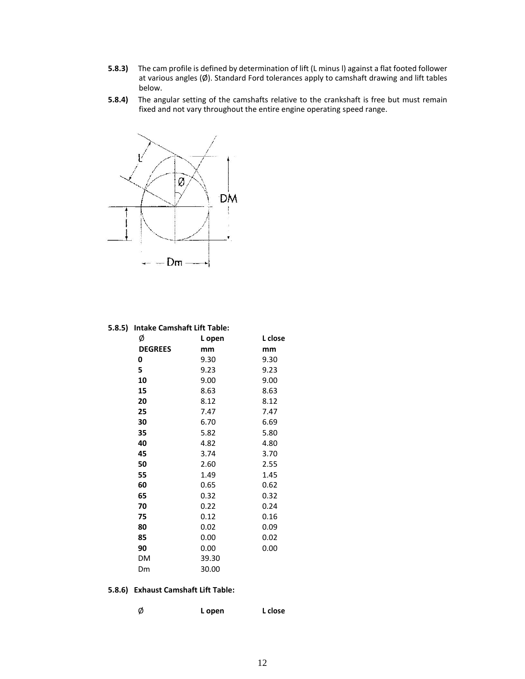- **5.8.3)** The cam profile is defined by determination of lift (L minus l) against a flat footed follower at various angles (Ø). Standard Ford tolerances apply to camshaft drawing and lift tables below.
- **5.8.4)** The angular setting of the camshafts relative to the crankshaft is free but must remain fixed and not vary throughout the entire engine operating speed range.



#### **5.8.5) Intake Camshaft Lift Table:**

| Ø              | L open | L close |
|----------------|--------|---------|
| <b>DEGREES</b> | mm     | mm      |
| 0              | 9.30   | 9.30    |
| 5              | 9.23   | 9.23    |
| 10             | 9.00   | 9.00    |
| 15             | 8.63   | 8.63    |
| 20             | 8.12   | 8.12    |
| 25             | 7.47   | 7.47    |
| 30             | 6.70   | 6.69    |
| 35             | 5.82   | 5.80    |
| 40             | 4.82   | 4.80    |
| 45             | 3.74   | 3.70    |
| 50             | 2.60   | 2.55    |
| 55             | 1.49   | 1.45    |
| 60             | 0.65   | 0.62    |
| 65             | 0.32   | 0.32    |
| 70             | 0.22   | 0.24    |
| 75             | 0.12   | 0.16    |
| 80             | 0.02   | 0.09    |
| 85             | 0.00   | 0.02    |
| 90             | 0.00   | 0.00    |
| DM             | 39.30  |         |
| Dm             | 30.00  |         |

#### **5.8.6) Exhaust Camshaft Lift Table:**

| L open | L close |
|--------|---------|
|        |         |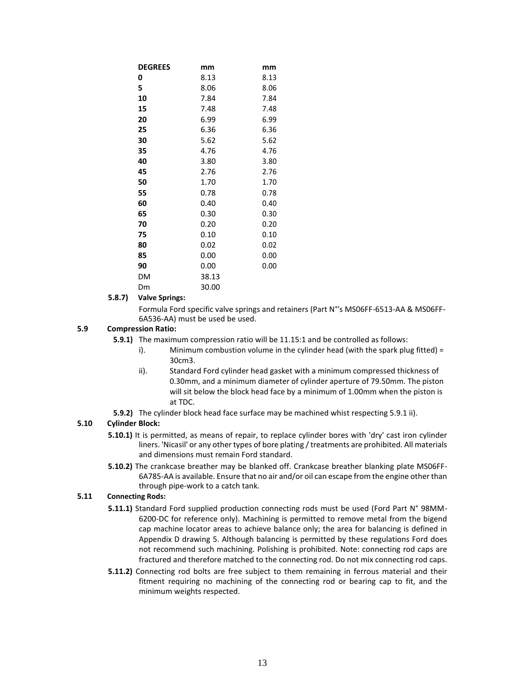| <b>DEGREES</b> | mm    | mm   |
|----------------|-------|------|
| 0              | 8.13  | 8.13 |
| 5              | 8.06  | 8.06 |
| 10             | 7.84  | 7.84 |
| 15             | 7.48  | 7.48 |
| 20             | 6.99  | 6.99 |
| 25             | 6.36  | 6.36 |
| 30             | 5.62  | 5.62 |
| 35             | 4.76  | 4.76 |
| 40             | 3.80  | 3.80 |
| 45             | 2.76  | 2.76 |
| 50             | 1.70  | 1.70 |
| 55             | 0.78  | 0.78 |
| 60             | 0.40  | 0.40 |
| 65             | 0.30  | 0.30 |
| 70             | 0.20  | 0.20 |
| 75             | 0.10  | 0.10 |
| 80             | 0.02  | 0.02 |
| 85             | 0.00  | 0.00 |
| 90             | 0.00  | 0.00 |
| DM             | 38.13 |      |
| Dm             | 30.00 |      |

#### **5.8.7) Valve Springs:**

Formula Ford specific valve springs and retainers (Part N°'s MS06FF-6513-AA & MS06FF-6A536-AA) must be used be used.

#### **5.9 Compression Ratio:**

- **5.9.1)** The maximum compression ratio will be 11.15:1 and be controlled as follows:
	- i). Minimum combustion volume in the cylinder head (with the spark plug fitted) = 30cm3.
	- ii). Standard Ford cylinder head gasket with a minimum compressed thickness of 0.30mm, and a minimum diameter of cylinder aperture of 79.50mm. The piston will sit below the block head face by a minimum of 1.00mm when the piston is at TDC.
- **5.9.2)** The cylinder block head face surface may be machined whist respecting 5.9.1 ii).

#### **5.10 Cylinder Block:**

- **5.10.1)** It is permitted, as means of repair, to replace cylinder bores with 'dry' cast iron cylinder liners. 'Nicasil' or any other types of bore plating / treatments are prohibited. All materials and dimensions must remain Ford standard.
- **5.10.2)** The crankcase breather may be blanked off. Crankcase breather blanking plate MS06FF-6A785-AA is available. Ensure that no air and/or oil can escape from the engine other than through pipe-work to a catch tank.

#### **5.11 Connecting Rods:**

- **5.11.1)** Standard Ford supplied production connecting rods must be used (Ford Part N° 98MM-6200-DC for reference only). Machining is permitted to remove metal from the bigend cap machine locator areas to achieve balance only; the area for balancing is defined in Appendix D drawing 5. Although balancing is permitted by these regulations Ford does not recommend such machining. Polishing is prohibited. Note: connecting rod caps are fractured and therefore matched to the connecting rod. Do not mix connecting rod caps.
- **5.11.2)** Connecting rod bolts are free subject to them remaining in ferrous material and their fitment requiring no machining of the connecting rod or bearing cap to fit, and the minimum weights respected.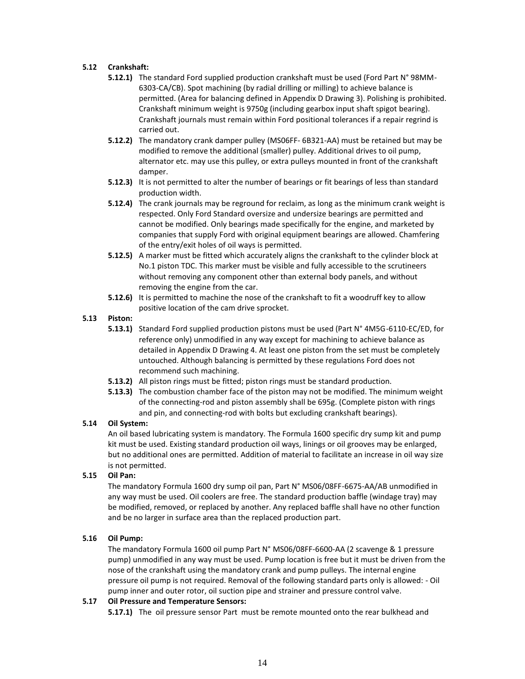#### **5.12 Crankshaft:**

- **5.12.1)** The standard Ford supplied production crankshaft must be used (Ford Part N° 98MM-6303-CA/CB). Spot machining (by radial drilling or milling) to achieve balance is permitted. (Area for balancing defined in Appendix D Drawing 3). Polishing is prohibited. Crankshaft minimum weight is 9750g (including gearbox input shaft spigot bearing). Crankshaft journals must remain within Ford positional tolerances if a repair regrind is carried out.
- **5.12.2)** The mandatory crank damper pulley (MS06FF- 6B321-AA) must be retained but may be modified to remove the additional (smaller) pulley. Additional drives to oil pump, alternator etc. may use this pulley, or extra pulleys mounted in front of the crankshaft damper.
- **5.12.3)** It is not permitted to alter the number of bearings or fit bearings of less than standard production width.
- **5.12.4)** The crank journals may be reground for reclaim, as long as the minimum crank weight is respected. Only Ford Standard oversize and undersize bearings are permitted and cannot be modified. Only bearings made specifically for the engine, and marketed by companies that supply Ford with original equipment bearings are allowed. Chamfering of the entry/exit holes of oil ways is permitted.
- **5.12.5)** A marker must be fitted which accurately aligns the crankshaft to the cylinder block at No.1 piston TDC. This marker must be visible and fully accessible to the scrutineers without removing any component other than external body panels, and without removing the engine from the car.
- **5.12.6)** It is permitted to machine the nose of the crankshaft to fit a woodruff key to allow positive location of the cam drive sprocket.

#### **5.13 Piston:**

- **5.13.1)** Standard Ford supplied production pistons must be used (Part N° 4M5G-6110-EC/ED, for reference only) unmodified in any way except for machining to achieve balance as detailed in Appendix D Drawing 4. At least one piston from the set must be completely untouched. Although balancing is permitted by these regulations Ford does not recommend such machining.
- **5.13.2)** All piston rings must be fitted; piston rings must be standard production.
- **5.13.3)** The combustion chamber face of the piston may not be modified. The minimum weight of the connecting-rod and piston assembly shall be 695g. (Complete piston with rings and pin, and connecting-rod with bolts but excluding crankshaft bearings).

#### **5.14 Oil System:**

An oil based lubricating system is mandatory. The Formula 1600 specific dry sump kit and pump kit must be used. Existing standard production oil ways, linings or oil grooves may be enlarged, but no additional ones are permitted. Addition of material to facilitate an increase in oil way size is not permitted.

#### **5.15 Oil Pan:**

The mandatory Formula 1600 dry sump oil pan, Part N° MS06/08FF-6675-AA/AB unmodified in any way must be used. Oil coolers are free. The standard production baffle (windage tray) may be modified, removed, or replaced by another. Any replaced baffle shall have no other function and be no larger in surface area than the replaced production part.

#### **5.16 Oil Pump:**

The mandatory Formula 1600 oil pump Part N° MS06/08FF-6600-AA (2 scavenge & 1 pressure pump) unmodified in any way must be used. Pump location is free but it must be driven from the nose of the crankshaft using the mandatory crank and pump pulleys. The internal engine pressure oil pump is not required. Removal of the following standard parts only is allowed: - Oil pump inner and outer rotor, oil suction pipe and strainer and pressure control valve.

#### **5.17 Oil Pressure and Temperature Sensors:**

**5.17.1)** The oil pressure sensor Part must be remote mounted onto the rear bulkhead and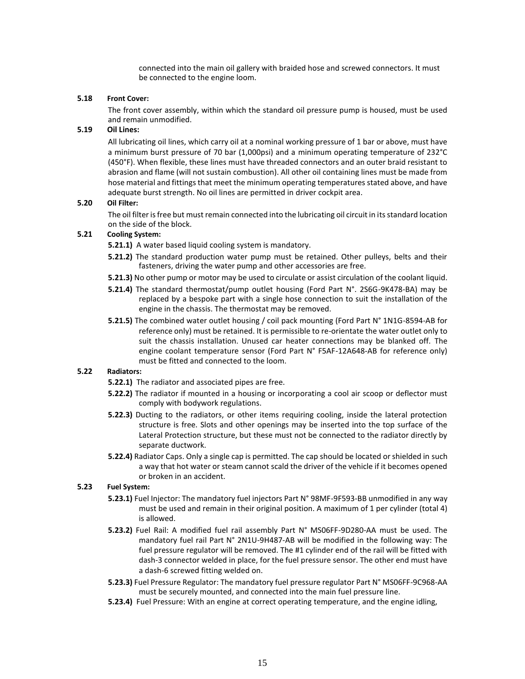connected into the main oil gallery with braided hose and screwed connectors. It must be connected to the engine loom.

#### **5.18 Front Cover:**

The front cover assembly, within which the standard oil pressure pump is housed, must be used and remain unmodified.

#### **5.19 Oil Lines:**

All lubricating oil lines, which carry oil at a nominal working pressure of 1 bar or above, must have a minimum burst pressure of 70 bar (1,000psi) and a minimum operating temperature of 232°C (450°F). When flexible, these lines must have threaded connectors and an outer braid resistant to abrasion and flame (will not sustain combustion). All other oil containing lines must be made from hose material and fittings that meet the minimum operating temperatures stated above, and have adequate burst strength. No oil lines are permitted in driver cockpit area.

#### **5.20 Oil Filter:**

The oil filter is free but must remain connected into the lubricating oil circuit in its standard location on the side of the block.

#### **5.21 Cooling System:**

**5.21.1)** A water based liquid cooling system is mandatory.

- **5.21.2)** The standard production water pump must be retained. Other pulleys, belts and their fasteners, driving the water pump and other accessories are free.
- **5.21.3)** No other pump or motor may be used to circulate or assist circulation of the coolant liquid.
- **5.21.4)** The standard thermostat/pump outlet housing (Ford Part N°. 2S6G-9K478-BA) may be replaced by a bespoke part with a single hose connection to suit the installation of the engine in the chassis. The thermostat may be removed.
- **5.21.5)** The combined water outlet housing / coil pack mounting (Ford Part N° 1N1G-8594-AB for reference only) must be retained. It is permissible to re-orientate the water outlet only to suit the chassis installation. Unused car heater connections may be blanked off. The engine coolant temperature sensor (Ford Part N° F5AF-12A648-AB for reference only) must be fitted and connected to the loom.

#### **5.22 Radiators:**

- **5.22.1)** The radiator and associated pipes are free.
- **5.22.2)** The radiator if mounted in a housing or incorporating a cool air scoop or deflector must comply with bodywork regulations.
- **5.22.3)** Ducting to the radiators, or other items requiring cooling, inside the lateral protection structure is free. Slots and other openings may be inserted into the top surface of the Lateral Protection structure, but these must not be connected to the radiator directly by separate ductwork.
- **5.22.4)** Radiator Caps. Only a single cap is permitted. The cap should be located or shielded in such a way that hot water or steam cannot scald the driver of the vehicle if it becomes opened or broken in an accident.

#### **5.23 Fuel System:**

- **5.23.1)** Fuel Injector: The mandatory fuel injectors Part N° 98MF-9F593-BB unmodified in any way must be used and remain in their original position. A maximum of 1 per cylinder (total 4) is allowed.
- **5.23.2)** Fuel Rail: A modified fuel rail assembly Part N° MS06FF-9D280-AA must be used. The mandatory fuel rail Part N° 2N1U-9H487-AB will be modified in the following way: The fuel pressure regulator will be removed. The #1 cylinder end of the rail will be fitted with dash-3 connector welded in place, for the fuel pressure sensor. The other end must have a dash-6 screwed fitting welded on.
- **5.23.3)** Fuel Pressure Regulator: The mandatory fuel pressure regulator Part N° MS06FF-9C968-AA must be securely mounted, and connected into the main fuel pressure line.
- **5.23.4)** Fuel Pressure: With an engine at correct operating temperature, and the engine idling,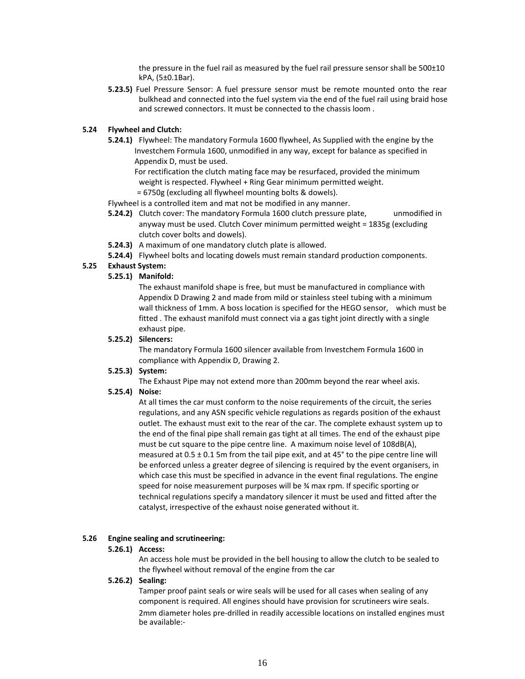the pressure in the fuel rail as measured by the fuel rail pressure sensor shall be 500±10 kPA, (5±0.1Bar).

**5.23.5)** Fuel Pressure Sensor: A fuel pressure sensor must be remote mounted onto the rear bulkhead and connected into the fuel system via the end of the fuel rail using braid hose and screwed connectors. It must be connected to the chassis loom .

#### **5.24 Flywheel and Clutch:**

**5.24.1)** Flywheel: The mandatory Formula 1600 flywheel, As Supplied with the engine by the Investchem Formula 1600, unmodified in any way, except for balance as specified in Appendix D, must be used.

For rectification the clutch mating face may be resurfaced, provided the minimum weight is respected. Flywheel + Ring Gear minimum permitted weight.

= 6750g (excluding all flywheel mounting bolts & dowels).

Flywheel is a controlled item and mat not be modified in any manner.

- **5.24.2)** Clutch cover: The mandatory Formula 1600 clutch pressure plate, unmodified in anyway must be used. Clutch Cover minimum permitted weight = 1835g (excluding clutch cover bolts and dowels).
- **5.24.3)** A maximum of one mandatory clutch plate is allowed.
- **5.24.4)** Flywheel bolts and locating dowels must remain standard production components.

#### **5.25 Exhaust System:**

#### **5.25.1) Manifold:**

The exhaust manifold shape is free, but must be manufactured in compliance with Appendix D Drawing 2 and made from mild or stainless steel tubing with a minimum wall thickness of 1mm. A boss location is specified for the HEGO sensor, which must be fitted . The exhaust manifold must connect via a gas tight joint directly with a single exhaust pipe.

#### **5.25.2) Silencers:**

The mandatory Formula 1600 silencer available from Investchem Formula 1600 in compliance with Appendix D, Drawing 2.

#### **5.25.3) System:**

The Exhaust Pipe may not extend more than 200mm beyond the rear wheel axis.

#### **5.25.4) Noise:**

At all times the car must conform to the noise requirements of the circuit, the series regulations, and any ASN specific vehicle regulations as regards position of the exhaust outlet. The exhaust must exit to the rear of the car. The complete exhaust system up to the end of the final pipe shall remain gas tight at all times. The end of the exhaust pipe must be cut square to the pipe centre line. A maximum noise level of 108dB(A), measured at  $0.5 \pm 0.1$  5m from the tail pipe exit, and at 45 $^{\circ}$  to the pipe centre line will be enforced unless a greater degree of silencing is required by the event organisers, in which case this must be specified in advance in the event final regulations. The engine speed for noise measurement purposes will be ¾ max rpm. If specific sporting or technical regulations specify a mandatory silencer it must be used and fitted after the catalyst, irrespective of the exhaust noise generated without it.

#### **5.26 Engine sealing and scrutineering:**

#### **5.26.1) Access:**

An access hole must be provided in the bell housing to allow the clutch to be sealed to the flywheel without removal of the engine from the car

#### **5.26.2) Sealing:**

Tamper proof paint seals or wire seals will be used for all cases when sealing of any component is required. All engines should have provision for scrutineers wire seals. 2mm diameter holes pre-drilled in readily accessible locations on installed engines must be available:-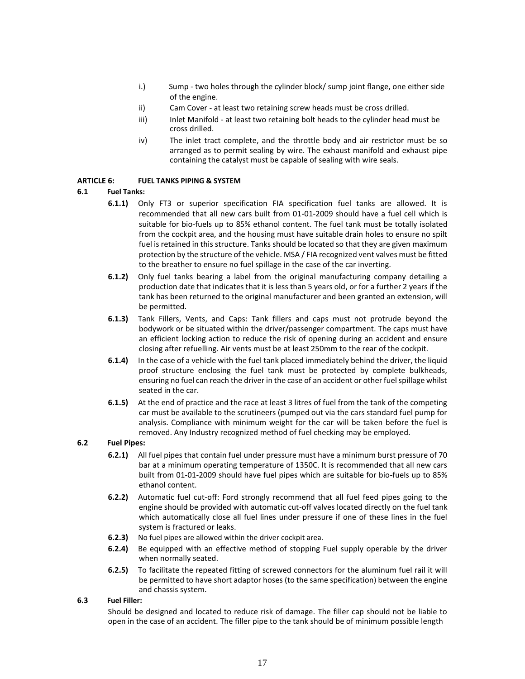- i.) Sump two holes through the cylinder block/ sump joint flange, one either side of the engine.
- ii) Cam Cover at least two retaining screw heads must be cross drilled.
- iii) Inlet Manifold at least two retaining bolt heads to the cylinder head must be cross drilled.
- iv) The inlet tract complete, and the throttle body and air restrictor must be so arranged as to permit sealing by wire. The exhaust manifold and exhaust pipe containing the catalyst must be capable of sealing with wire seals.

#### **ARTICLE 6: FUEL TANKS PIPING & SYSTEM**

#### **6.1 Fuel Tanks:**

- **6.1.1)** Only FT3 or superior specification FIA specification fuel tanks are allowed. It is recommended that all new cars built from 01-01-2009 should have a fuel cell which is suitable for bio-fuels up to 85% ethanol content. The fuel tank must be totally isolated from the cockpit area, and the housing must have suitable drain holes to ensure no spilt fuel is retained in this structure. Tanks should be located so that they are given maximum protection by the structure of the vehicle. MSA / FIA recognized vent valves must be fitted to the breather to ensure no fuel spillage in the case of the car inverting.
- **6.1.2)** Only fuel tanks bearing a label from the original manufacturing company detailing a production date that indicates that it is less than 5 years old, or for a further 2 years if the tank has been returned to the original manufacturer and been granted an extension, will be permitted.
- **6.1.3)** Tank Fillers, Vents, and Caps: Tank fillers and caps must not protrude beyond the bodywork or be situated within the driver/passenger compartment. The caps must have an efficient locking action to reduce the risk of opening during an accident and ensure closing after refuelling. Air vents must be at least 250mm to the rear of the cockpit.
- **6.1.4)** In the case of a vehicle with the fuel tank placed immediately behind the driver, the liquid proof structure enclosing the fuel tank must be protected by complete bulkheads, ensuring no fuel can reach the driver in the case of an accident or other fuel spillage whilst seated in the car.
- **6.1.5)** At the end of practice and the race at least 3 litres of fuel from the tank of the competing car must be available to the scrutineers (pumped out via the cars standard fuel pump for analysis. Compliance with minimum weight for the car will be taken before the fuel is removed. Any Industry recognized method of fuel checking may be employed.

#### **6.2 Fuel Pipes:**

- **6.2.1)** All fuel pipes that contain fuel under pressure must have a minimum burst pressure of 70 bar at a minimum operating temperature of 1350C. It is recommended that all new cars built from 01-01-2009 should have fuel pipes which are suitable for bio-fuels up to 85% ethanol content.
- **6.2.2)** Automatic fuel cut-off: Ford strongly recommend that all fuel feed pipes going to the engine should be provided with automatic cut-off valves located directly on the fuel tank which automatically close all fuel lines under pressure if one of these lines in the fuel system is fractured or leaks.
- **6.2.3)** No fuel pipes are allowed within the driver cockpit area.
- **6.2.4)** Be equipped with an effective method of stopping Fuel supply operable by the driver when normally seated.
- **6.2.5)** To facilitate the repeated fitting of screwed connectors for the aluminum fuel rail it will be permitted to have short adaptor hoses (to the same specification) between the engine and chassis system.

#### **6.3 Fuel Filler:**

Should be designed and located to reduce risk of damage. The filler cap should not be liable to open in the case of an accident. The filler pipe to the tank should be of minimum possible length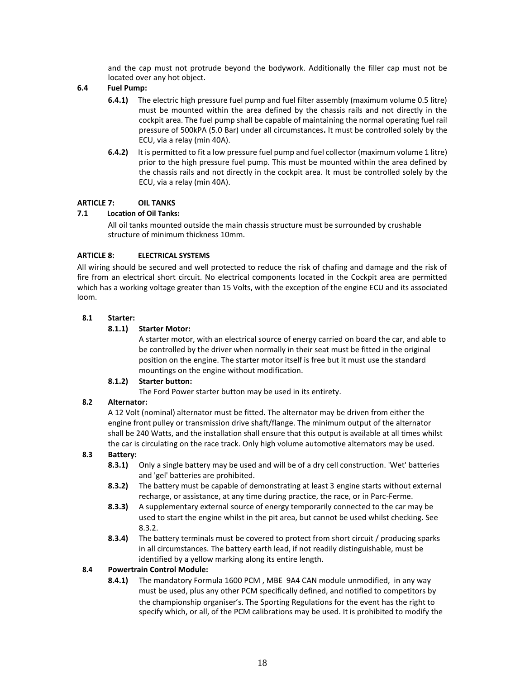and the cap must not protrude beyond the bodywork. Additionally the filler cap must not be located over any hot object.

#### **6.4 Fuel Pump:**

- **6.4.1)** The electric high pressure fuel pump and fuel filter assembly (maximum volume 0.5 litre) must be mounted within the area defined by the chassis rails and not directly in the cockpit area. The fuel pump shall be capable of maintaining the normal operating fuel rail pressure of 500kPA (5.0 Bar) under all circumstances**.** It must be controlled solely by the ECU, via a relay (min 40A).
- **6.4.2)** It is permitted to fit a low pressure fuel pump and fuel collector (maximum volume 1 litre) prior to the high pressure fuel pump. This must be mounted within the area defined by the chassis rails and not directly in the cockpit area. It must be controlled solely by the ECU, via a relay (min 40A).

#### **ARTICLE 7: OIL TANKS**

#### **7.1 Location of Oil Tanks:**

All oil tanks mounted outside the main chassis structure must be surrounded by crushable structure of minimum thickness 10mm.

#### **ARTICLE 8: ELECTRICAL SYSTEMS**

All wiring should be secured and well protected to reduce the risk of chafing and damage and the risk of fire from an electrical short circuit. No electrical components located in the Cockpit area are permitted which has a working voltage greater than 15 Volts, with the exception of the engine ECU and its associated loom.

#### **8.1 Starter:**

#### **8.1.1) Starter Motor:**

A starter motor, with an electrical source of energy carried on board the car, and able to be controlled by the driver when normally in their seat must be fitted in the original position on the engine. The starter motor itself is free but it must use the standard mountings on the engine without modification.

#### **8.1.2) Starter button:**

The Ford Power starter button may be used in its entirety.

#### **8.2 Alternator:**

A 12 Volt (nominal) alternator must be fitted. The alternator may be driven from either the engine front pulley or transmission drive shaft/flange. The minimum output of the alternator shall be 240 Watts, and the installation shall ensure that this output is available at all times whilst the car is circulating on the race track. Only high volume automotive alternators may be used.

#### **8.3 Battery:**

- **8.3.1)** Only a single battery may be used and will be of a dry cell construction. 'Wet' batteries and 'gel' batteries are prohibited.
- **8.3.2)** The battery must be capable of demonstrating at least 3 engine starts without external recharge, or assistance, at any time during practice, the race, or in Parc-Ferme.
- **8.3.3)** A supplementary external source of energy temporarily connected to the car may be used to start the engine whilst in the pit area, but cannot be used whilst checking. See 8.3.2.
- **8.3.4)** The battery terminals must be covered to protect from short circuit / producing sparks in all circumstances. The battery earth lead, if not readily distinguishable, must be identified by a yellow marking along its entire length.

#### **8.4 Powertrain Control Module:**

**8.4.1)** The mandatory Formula 1600 PCM , MBE 9A4 CAN module unmodified, in any way must be used, plus any other PCM specifically defined, and notified to competitors by the championship organiser's. The Sporting Regulations for the event has the right to specify which, or all, of the PCM calibrations may be used. It is prohibited to modify the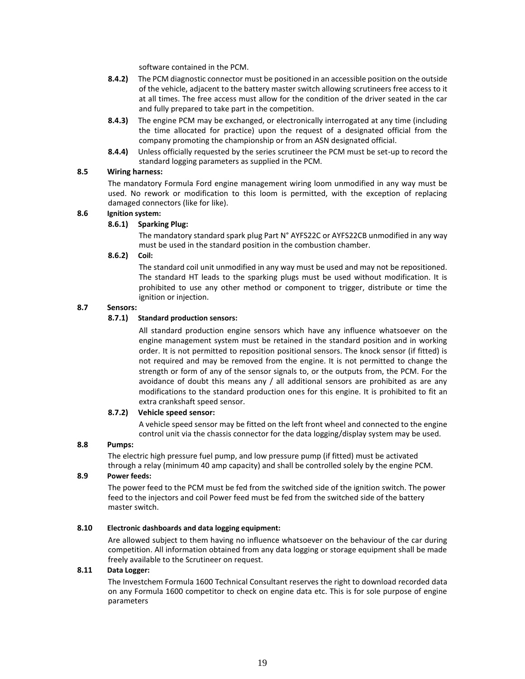software contained in the PCM.

- **8.4.2)** The PCM diagnostic connector must be positioned in an accessible position on the outside of the vehicle, adjacent to the battery master switch allowing scrutineers free access to it at all times. The free access must allow for the condition of the driver seated in the car and fully prepared to take part in the competition.
- **8.4.3)** The engine PCM may be exchanged, or electronically interrogated at any time (including the time allocated for practice) upon the request of a designated official from the company promoting the championship or from an ASN designated official.
- **8.4.4)** Unless officially requested by the series scrutineer the PCM must be set-up to record the standard logging parameters as supplied in the PCM.

#### **8.5 Wiring harness:**

The mandatory Formula Ford engine management wiring loom unmodified in any way must be used. No rework or modification to this loom is permitted, with the exception of replacing damaged connectors (like for like).

#### **8.6 Ignition system:**

#### **8.6.1) Sparking Plug:**

The mandatory standard spark plug Part N° AYFS22C or AYFS22CB unmodified in any way must be used in the standard position in the combustion chamber.

#### **8.6.2) Coil:**

The standard coil unit unmodified in any way must be used and may not be repositioned. The standard HT leads to the sparking plugs must be used without modification. It is prohibited to use any other method or component to trigger, distribute or time the ignition or injection.

#### **8.7 Sensors:**

#### **8.7.1) Standard production sensors:**

All standard production engine sensors which have any influence whatsoever on the engine management system must be retained in the standard position and in working order. It is not permitted to reposition positional sensors. The knock sensor (if fitted) is not required and may be removed from the engine. It is not permitted to change the strength or form of any of the sensor signals to, or the outputs from, the PCM. For the avoidance of doubt this means any / all additional sensors are prohibited as are any modifications to the standard production ones for this engine. It is prohibited to fit an extra crankshaft speed sensor.

#### **8.7.2) Vehicle speed sensor:**

A vehicle speed sensor may be fitted on the left front wheel and connected to the engine control unit via the chassis connector for the data logging/display system may be used.

#### **8.8 Pumps:**

The electric high pressure fuel pump, and low pressure pump (if fitted) must be activated through a relay (minimum 40 amp capacity) and shall be controlled solely by the engine PCM.

#### **8.9 Power feeds:**

The power feed to the PCM must be fed from the switched side of the ignition switch. The power feed to the injectors and coil Power feed must be fed from the switched side of the battery master switch.

#### **8.10 Electronic dashboards and data logging equipment:**

Are allowed subject to them having no influence whatsoever on the behaviour of the car during competition. All information obtained from any data logging or storage equipment shall be made freely available to the Scrutineer on request.

#### **8.11 Data Logger:**

The Investchem Formula 1600 Technical Consultant reserves the right to download recorded data on any Formula 1600 competitor to check on engine data etc. This is for sole purpose of engine parameters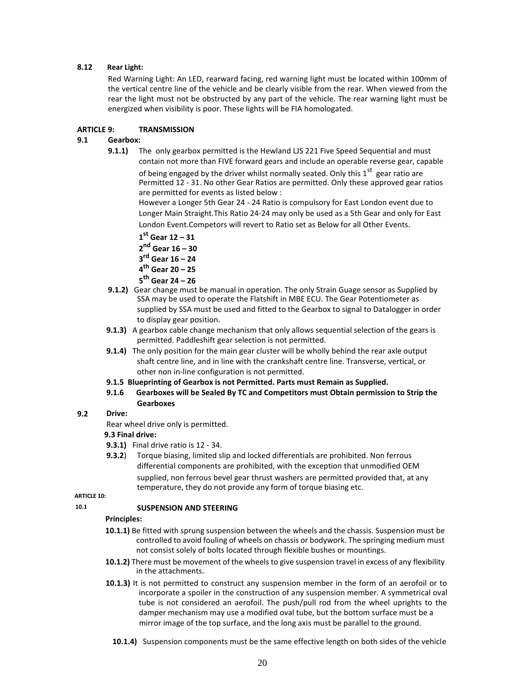#### **8.12 Rear Light:**

Red Warning Light: An LED, rearward facing, red warning light must be located within 100mm of the vertical centre line of the vehicle and be clearly visible from the rear. When viewed from the rear the light must not be obstructed by any part of the vehicle. The rear warning light must be energized when visibility is poor. These lights will be FIA homologated.

#### **ARTICLE 9: TRANSMISSION**

#### **9.1 Gearbox:**

**9.1.1)** The only gearbox permitted is the Hewland LJS 221 Five Speed Sequential and must contain not more than FIVE forward gears and include an operable reverse gear, capable of being engaged by the driver whilst normally seated. Only this  $1<sup>st</sup>$  gear ratio are Permitted 12 - 31. No other Gear Ratios are permitted. Only these approved gear ratios are permitted for events as listed below :

However a Longer 5th Gear 24 - 24 Ratio is compulsory for East London event due to Longer Main Straight.This Ratio 24-24 may only be used as a 5th Gear and only for East London Event.Competors will revert to Ratio set as Below for all Other Events.

- **1 st Gear 12 – 31**
- **2 nd Gear 16 – 30**
- **3 rd Gear 16 – 24**
- **4 th Gear 20 – 25**
- **5 th Gear 24 – 26**
- **9.1.2)** Gear change must be manual in operation. The only Strain Guage sensor as Supplied by SSA may be used to operate the Flatshift in MBE ECU. The Gear Potentiometer as supplied by SSA must be used and fitted to the Gearbox to signal to Datalogger in order to display gear position.
- **9.1.3)** A gearbox cable change mechanism that only allows sequential selection of the gears is permitted. Paddleshift gear selection is not permitted.
- **9.1.4)** The only position for the main gear cluster will be wholly behind the rear axle output shaft centre line, and in line with the crankshaft centre line. Transverse, vertical, or other non in-line configuration is not permitted.
- **9.1.5 Blueprinting of Gearbox is not Permitted. Parts must Remain as Supplied.**
- **9.1.6 Gearboxes will be Sealed By TC and Competitors must Obtain permission to Strip the Gearboxes**
- **9.2 Drive:**

Rear wheel drive only is permitted.

#### **9.3 Final drive:**

- **9.3.1)** Final drive ratio is 12 34.
- **9.3.2**) Torque biasing, limited slip and locked differentials are prohibited. Non ferrous differential components are prohibited, with the exception that unmodified OEM supplied, non ferrous bevel gear thrust washers are permitted provided that, at any temperature, they do not provide any form of torque biasing etc.

**ARTICLE 10: 10.1**

#### **SUSPENSION AND STEERING**

#### **Principles:**

- **10.1.1)** Be fitted with sprung suspension between the wheels and the chassis. Suspension must be controlled to avoid fouling of wheels on chassis or bodywork. The springing medium must not consist solely of bolts located through flexible bushes or mountings.
- **10.1.2)** There must be movement of the wheels to give suspension travel in excess of any flexibility in the attachments.
- **10.1.3)** It is not permitted to construct any suspension member in the form of an aerofoil or to incorporate a spoiler in the construction of any suspension member. A symmetrical oval tube is not considered an aerofoil. The push/pull rod from the wheel uprights to the damper mechanism may use a modified oval tube, but the bottom surface must be a mirror image of the top surface, and the long axis must be parallel to the ground.
	- **10.1.4)** Suspension components must be the same effective length on both sides of the vehicle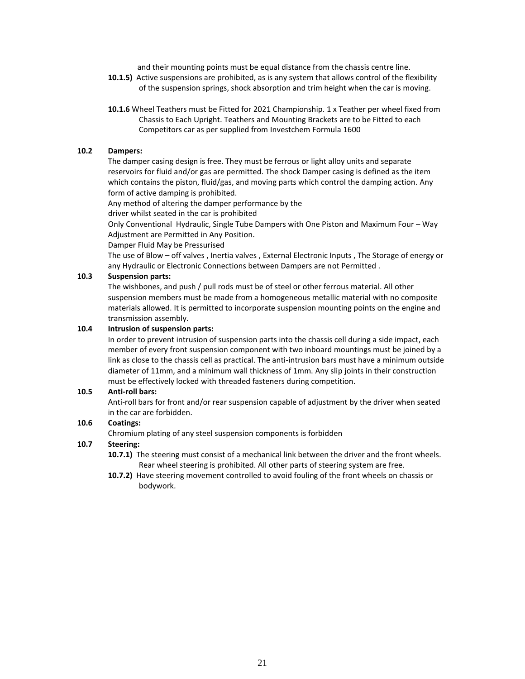and their mounting points must be equal distance from the chassis centre line.

- **10.1.5)** Active suspensions are prohibited, as is any system that allows control of the flexibility of the suspension springs, shock absorption and trim height when the car is moving.
- **10.1.6** Wheel Teathers must be Fitted for 2021 Championship. 1 x Teather per wheel fixed from Chassis to Each Upright. Teathers and Mounting Brackets are to be Fitted to each Competitors car as per supplied from Investchem Formula 1600

#### **10.2 Dampers:**

The damper casing design is free. They must be ferrous or light alloy units and separate reservoirs for fluid and/or gas are permitted. The shock Damper casing is defined as the item which contains the piston, fluid/gas, and moving parts which control the damping action. Any form of active damping is prohibited.

Any method of altering the damper performance by the

driver whilst seated in the car is prohibited

Only Conventional Hydraulic, Single Tube Dampers with One Piston and Maximum Four – Way Adjustment are Permitted in Any Position.

Damper Fluid May be Pressurised

The use of Blow – off valves , Inertia valves , External Electronic Inputs , The Storage of energy or any Hydraulic or Electronic Connections between Dampers are not Permitted .

#### **10.3 Suspension parts:**

The wishbones, and push / pull rods must be of steel or other ferrous material. All other suspension members must be made from a homogeneous metallic material with no composite materials allowed. It is permitted to incorporate suspension mounting points on the engine and transmission assembly.

#### **10.4 Intrusion of suspension parts:**

In order to prevent intrusion of suspension parts into the chassis cell during a side impact, each member of every front suspension component with two inboard mountings must be joined by a link as close to the chassis cell as practical. The anti-intrusion bars must have a minimum outside diameter of 11mm, and a minimum wall thickness of 1mm. Any slip joints in their construction must be effectively locked with threaded fasteners during competition.

#### **10.5 Anti-roll bars:**

Anti-roll bars for front and/or rear suspension capable of adjustment by the driver when seated in the car are forbidden.

#### **10.6 Coatings:**

Chromium plating of any steel suspension components is forbidden

#### **10.7 Steering:**

**10.7.1)** The steering must consist of a mechanical link between the driver and the front wheels. Rear wheel steering is prohibited. All other parts of steering system are free.

**10.7.2)** Have steering movement controlled to avoid fouling of the front wheels on chassis or bodywork.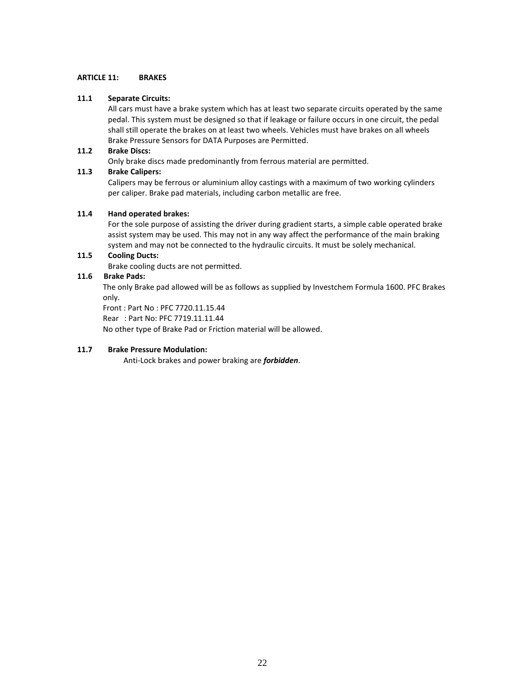#### **ARTICLE 11: BRAKES**

#### **11.1 Separate Circuits:**

All cars must have a brake system which has at least two separate circuits operated by the same pedal. This system must be designed so that if leakage or failure occurs in one circuit, the pedal shall still operate the brakes on at least two wheels. Vehicles must have brakes on all wheels Brake Pressure Sensors for DATA Purposes are Permitted.

#### **11.2 Brake Discs:**

Only brake discs made predominantly from ferrous material are permitted.

#### **11.3 Brake Calipers:**

Calipers may be ferrous or aluminium alloy castings with a maximum of two working cylinders per caliper. Brake pad materials, including carbon metallic are free.

#### **11.4 Hand operated brakes:**

For the sole purpose of assisting the driver during gradient starts, a simple cable operated brake assist system may be used. This may not in any way affect the performance of the main braking system and may not be connected to the hydraulic circuits. It must be solely mechanical.

### **11.5 Cooling Ducts:**

Brake cooling ducts are not permitted.

#### **11.6 Brake Pads:**

The only Brake pad allowed will be as follows as supplied by Investchem Formula 1600. PFC Brakes only.

Front : Part No : PFC 7720.11.15.44

Rear : Part No: PFC 7719.11.11.44

No other type of Brake Pad or Friction material will be allowed.

#### **11.7 Brake Pressure Modulation:**

Anti-Lock brakes and power braking are *forbidden*.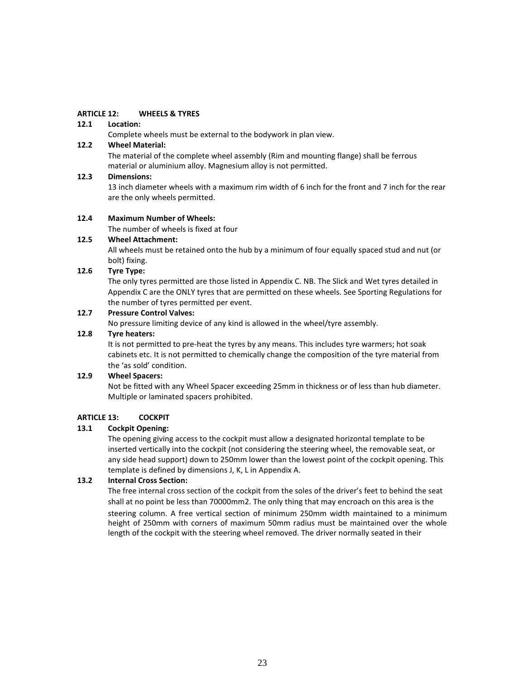#### **ARTICLE 12: WHEELS & TYRES**

#### **12.1 Location:**

Complete wheels must be external to the bodywork in plan view.

#### **12.2 Wheel Material:**

The material of the complete wheel assembly (Rim and mounting flange) shall be ferrous material or aluminium alloy. Magnesium alloy is not permitted.

#### **12.3 Dimensions:**

13 inch diameter wheels with a maximum rim width of 6 inch for the front and 7 inch for the rear are the only wheels permitted.

#### **12.4 Maximum Number of Wheels:**

The number of wheels is fixed at four

#### **12.5 Wheel Attachment:**

All wheels must be retained onto the hub by a minimum of four equally spaced stud and nut (or bolt) fixing.

#### **12.6 Tyre Type:**

The only tyres permitted are those listed in Appendix C. NB. The Slick and Wet tyres detailed in Appendix C are the ONLY tyres that are permitted on these wheels. See Sporting Regulations for the number of tyres permitted per event.

### **12.7 Pressure Control Valves:**

No pressure limiting device of any kind is allowed in the wheel/tyre assembly.

#### **12.8 Tyre heaters:**

It is not permitted to pre-heat the tyres by any means. This includes tyre warmers; hot soak cabinets etc. It is not permitted to chemically change the composition of the tyre material from the 'as sold' condition.

#### **12.9 Wheel Spacers:**

Not be fitted with any Wheel Spacer exceeding 25mm in thickness or of less than hub diameter. Multiple or laminated spacers prohibited.

#### **ARTICLE 13: COCKPIT**

#### **13.1 Cockpit Opening:**

The opening giving access to the cockpit must allow a designated horizontal template to be inserted vertically into the cockpit (not considering the steering wheel, the removable seat, or any side head support) down to 250mm lower than the lowest point of the cockpit opening. This template is defined by dimensions J, K, L in Appendix A.

#### **13.2 Internal Cross Section:**

The free internal cross section of the cockpit from the soles of the driver's feet to behind the seat shall at no point be less than 70000mm2. The only thing that may encroach on this area is the

steering column. A free vertical section of minimum 250mm width maintained to a minimum height of 250mm with corners of maximum 50mm radius must be maintained over the whole length of the cockpit with the steering wheel removed. The driver normally seated in their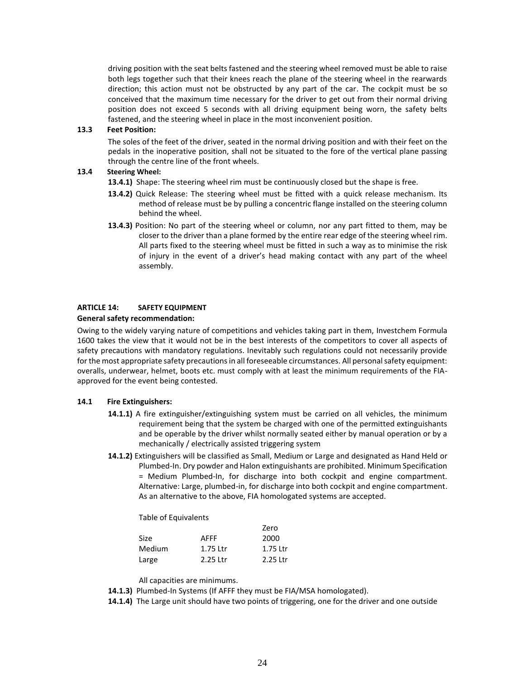driving position with the seat belts fastened and the steering wheel removed must be able to raise both legs together such that their knees reach the plane of the steering wheel in the rearwards direction; this action must not be obstructed by any part of the car. The cockpit must be so conceived that the maximum time necessary for the driver to get out from their normal driving position does not exceed 5 seconds with all driving equipment being worn, the safety belts fastened, and the steering wheel in place in the most inconvenient position.

#### **13.3 Feet Position:**

The soles of the feet of the driver, seated in the normal driving position and with their feet on the pedals in the inoperative position, shall not be situated to the fore of the vertical plane passing through the centre line of the front wheels.

#### **13.4 Steering Wheel:**

- **13.4.1)** Shape: The steering wheel rim must be continuously closed but the shape is free.
- **13.4.2)** Quick Release: The steering wheel must be fitted with a quick release mechanism. Its method of release must be by pulling a concentric flange installed on the steering column behind the wheel.
- **13.4.3)** Position: No part of the steering wheel or column, nor any part fitted to them, may be closer to the driver than a plane formed by the entire rear edge of the steering wheel rim. All parts fixed to the steering wheel must be fitted in such a way as to minimise the risk of injury in the event of a driver's head making contact with any part of the wheel assembly.

#### **ARTICLE 14: SAFETY EQUIPMENT**

#### **General safety recommendation:**

Owing to the widely varying nature of competitions and vehicles taking part in them, Investchem Formula 1600 takes the view that it would not be in the best interests of the competitors to cover all aspects of safety precautions with mandatory regulations. Inevitably such regulations could not necessarily provide for the most appropriate safety precautions in all foreseeable circumstances. All personal safety equipment: overalls, underwear, helmet, boots etc. must comply with at least the minimum requirements of the FIAapproved for the event being contested.

#### **14.1 Fire Extinguishers:**

- **14.1.1)** A fire extinguisher/extinguishing system must be carried on all vehicles, the minimum requirement being that the system be charged with one of the permitted extinguishants and be operable by the driver whilst normally seated either by manual operation or by a mechanically / electrically assisted triggering system
- **14.1.2)** Extinguishers will be classified as Small, Medium or Large and designated as Hand Held or Plumbed-In. Dry powder and Halon extinguishants are prohibited. Minimum Specification = Medium Plumbed-In, for discharge into both cockpit and engine compartment. Alternative: Large, plumbed-in, for discharge into both cockpit and engine compartment. As an alternative to the above, FIA homologated systems are accepted.

Table of Equivalents

|        |          | Zero     |
|--------|----------|----------|
| Size   | AFFF     | 2000     |
| Medium | 1.75 Ltr | 1.75 Ltr |
| Large  | 2.25 Ltr | 2.25 Ltr |

All capacities are minimums.

**14.1.3)** Plumbed-In Systems (If AFFF they must be FIA/MSA homologated).

**14.1.4)** The Large unit should have two points of triggering, one for the driver and one outside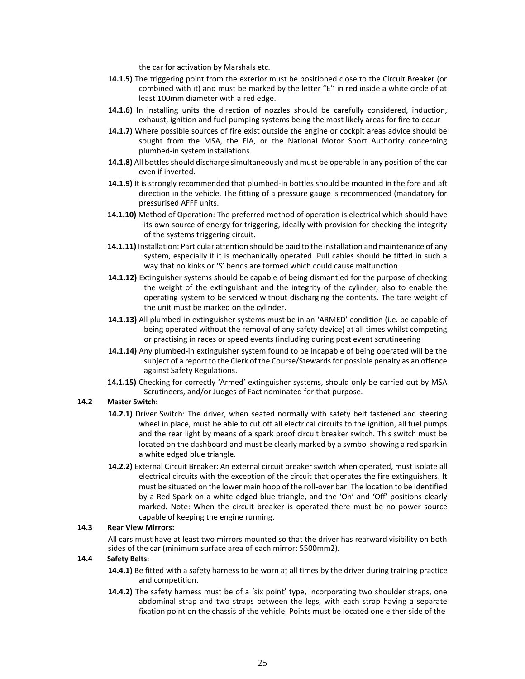the car for activation by Marshals etc.

- **14.1.5)** The triggering point from the exterior must be positioned close to the Circuit Breaker (or combined with it) and must be marked by the letter "E'' in red inside a white circle of at least 100mm diameter with a red edge.
- **14.1.6)** In installing units the direction of nozzles should be carefully considered, induction, exhaust, ignition and fuel pumping systems being the most likely areas for fire to occur
- **14.1.7)** Where possible sources of fire exist outside the engine or cockpit areas advice should be sought from the MSA, the FIA, or the National Motor Sport Authority concerning plumbed-in system installations.
- **14.1.8)** All bottles should discharge simultaneously and must be operable in any position of the car even if inverted.
- **14.1.9)** It is strongly recommended that plumbed-in bottles should be mounted in the fore and aft direction in the vehicle. The fitting of a pressure gauge is recommended (mandatory for pressurised AFFF units.
- **14.1.10)** Method of Operation: The preferred method of operation is electrical which should have its own source of energy for triggering, ideally with provision for checking the integrity of the systems triggering circuit.
- **14.1.11)** Installation: Particular attention should be paid to the installation and maintenance of any system, especially if it is mechanically operated. Pull cables should be fitted in such a way that no kinks or 'S' bends are formed which could cause malfunction.
- **14.1.12)** Extinguisher systems should be capable of being dismantled for the purpose of checking the weight of the extinguishant and the integrity of the cylinder, also to enable the operating system to be serviced without discharging the contents. The tare weight of the unit must be marked on the cylinder.
- **14.1.13)** All plumbed-in extinguisher systems must be in an 'ARMED' condition (i.e. be capable of being operated without the removal of any safety device) at all times whilst competing or practising in races or speed events (including during post event scrutineering
- **14.1.14)** Any plumbed-in extinguisher system found to be incapable of being operated will be the subject of a report to the Clerk of the Course/Stewards for possible penalty as an offence against Safety Regulations.
- **14.1.15)** Checking for correctly 'Armed' extinguisher systems, should only be carried out by MSA Scrutineers, and/or Judges of Fact nominated for that purpose.

#### **14.2 Master Switch:**

- **14.2.1)** Driver Switch: The driver, when seated normally with safety belt fastened and steering wheel in place, must be able to cut off all electrical circuits to the ignition, all fuel pumps and the rear light by means of a spark proof circuit breaker switch. This switch must be located on the dashboard and must be clearly marked by a symbol showing a red spark in a white edged blue triangle.
- **14.2.2)** External Circuit Breaker: An external circuit breaker switch when operated, must isolate all electrical circuits with the exception of the circuit that operates the fire extinguishers. It must be situated on the lower main hoop of the roll-over bar. The location to be identified by a Red Spark on a white-edged blue triangle, and the 'On' and 'Off' positions clearly marked. Note: When the circuit breaker is operated there must be no power source capable of keeping the engine running.

#### **14.3 Rear View Mirrors:**

All cars must have at least two mirrors mounted so that the driver has rearward visibility on both sides of the car (minimum surface area of each mirror: 5500mm2).

#### **14.4 Safety Belts:**

**14.4.1)** Be fitted with a safety harness to be worn at all times by the driver during training practice and competition.

14.4.2) The safety harness must be of a 'six point' type, incorporating two shoulder straps, one abdominal strap and two straps between the legs, with each strap having a separate fixation point on the chassis of the vehicle. Points must be located one either side of the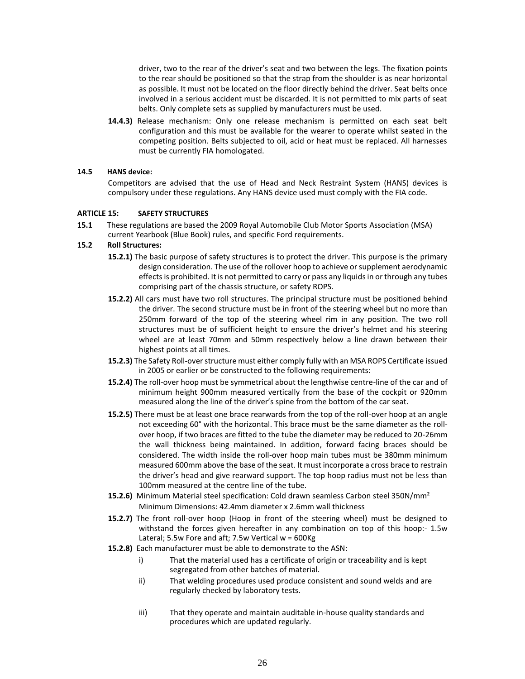driver, two to the rear of the driver's seat and two between the legs. The fixation points to the rear should be positioned so that the strap from the shoulder is as near horizontal as possible. It must not be located on the floor directly behind the driver. Seat belts once involved in a serious accident must be discarded. It is not permitted to mix parts of seat belts. Only complete sets as supplied by manufacturers must be used.

**14.4.3)** Release mechanism: Only one release mechanism is permitted on each seat belt configuration and this must be available for the wearer to operate whilst seated in the competing position. Belts subjected to oil, acid or heat must be replaced. All harnesses must be currently FIA homologated.

#### **14.5 HANS device:**

Competitors are advised that the use of Head and Neck Restraint System (HANS) devices is compulsory under these regulations. Any HANS device used must comply with the FIA code.

#### **ARTICLE 15: SAFETY STRUCTURES**

**15.1** These regulations are based the 2009 Royal Automobile Club Motor Sports Association (MSA) current Yearbook (Blue Book) rules, and specific Ford requirements.

#### **15.2 Roll Structures:**

- **15.2.1)** The basic purpose of safety structures is to protect the driver. This purpose is the primary design consideration. The use of the rollover hoop to achieve or supplement aerodynamic effects is prohibited. It is not permitted to carry or pass any liquids in or through any tubes comprising part of the chassis structure, or safety ROPS.
- **15.2.2)** All cars must have two roll structures. The principal structure must be positioned behind the driver. The second structure must be in front of the steering wheel but no more than 250mm forward of the top of the steering wheel rim in any position. The two roll structures must be of sufficient height to ensure the driver's helmet and his steering wheel are at least 70mm and 50mm respectively below a line drawn between their highest points at all times.
- **15.2.3)** The Safety Roll-over structure must either comply fully with an MSA ROPS Certificate issued in 2005 or earlier or be constructed to the following requirements:
- **15.2.4)** The roll-over hoop must be symmetrical about the lengthwise centre-line of the car and of minimum height 900mm measured vertically from the base of the cockpit or 920mm measured along the line of the driver's spine from the bottom of the car seat.
- **15.2.5)** There must be at least one brace rearwards from the top of the roll-over hoop at an angle not exceeding 60° with the horizontal. This brace must be the same diameter as the rollover hoop, if two braces are fitted to the tube the diameter may be reduced to 20-26mm the wall thickness being maintained. In addition, forward facing braces should be considered. The width inside the roll-over hoop main tubes must be 380mm minimum measured 600mm above the base of the seat. It must incorporate a cross brace to restrain the driver's head and give rearward support. The top hoop radius must not be less than 100mm measured at the centre line of the tube.
- **15.2.6)** Minimum Material steel specification: Cold drawn seamless Carbon steel 350N/mm² Minimum Dimensions: 42.4mm diameter x 2.6mm wall thickness
- **15.2.7)** The front roll-over hoop (Hoop in front of the steering wheel) must be designed to withstand the forces given hereafter in any combination on top of this hoop:- 1.5w Lateral; 5.5w Fore and aft; 7.5w Vertical  $w = 600$ Kg
- **15.2.8)** Each manufacturer must be able to demonstrate to the ASN:
	- i) That the material used has a certificate of origin or traceability and is kept segregated from other batches of material.
	- ii) That welding procedures used produce consistent and sound welds and are regularly checked by laboratory tests.
	- iii) That they operate and maintain auditable in-house quality standards and procedures which are updated regularly.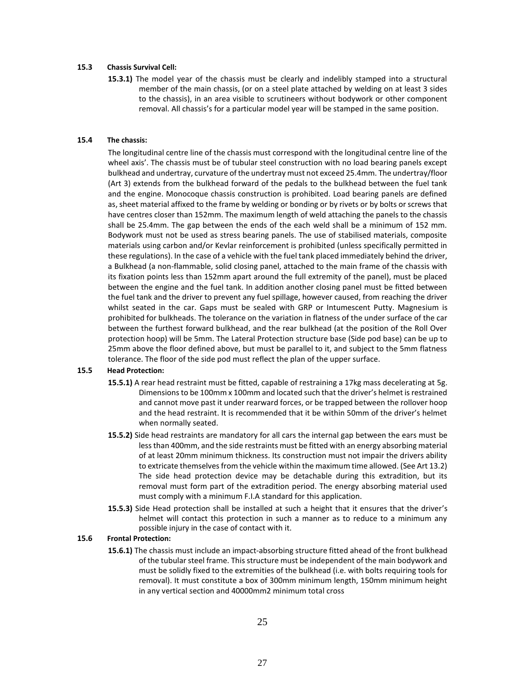#### **15.3 Chassis Survival Cell:**

**15.3.1)** The model year of the chassis must be clearly and indelibly stamped into a structural member of the main chassis, (or on a steel plate attached by welding on at least 3 sides to the chassis), in an area visible to scrutineers without bodywork or other component removal. All chassis's for a particular model year will be stamped in the same position.

#### **15.4 The chassis:**

The longitudinal centre line of the chassis must correspond with the longitudinal centre line of the wheel axis'. The chassis must be of tubular steel construction with no load bearing panels except bulkhead and undertray, curvature of the undertray must not exceed 25.4mm. The undertray/floor (Art 3) extends from the bulkhead forward of the pedals to the bulkhead between the fuel tank and the engine. Monocoque chassis construction is prohibited. Load bearing panels are defined as, sheet material affixed to the frame by welding or bonding or by rivets or by bolts or screws that have centres closer than 152mm. The maximum length of weld attaching the panels to the chassis shall be 25.4mm. The gap between the ends of the each weld shall be a minimum of 152 mm. Bodywork must not be used as stress bearing panels. The use of stabilised materials, composite materials using carbon and/or Kevlar reinforcement is prohibited (unless specifically permitted in these regulations). In the case of a vehicle with the fuel tank placed immediately behind the driver, a Bulkhead (a non-flammable, solid closing panel, attached to the main frame of the chassis with its fixation points less than 152mm apart around the full extremity of the panel), must be placed between the engine and the fuel tank. In addition another closing panel must be fitted between the fuel tank and the driver to prevent any fuel spillage, however caused, from reaching the driver whilst seated in the car. Gaps must be sealed with GRP or Intumescent Putty. Magnesium is prohibited for bulkheads. The tolerance on the variation in flatness of the under surface of the car between the furthest forward bulkhead, and the rear bulkhead (at the position of the Roll Over protection hoop) will be 5mm. The Lateral Protection structure base (Side pod base) can be up to 25mm above the floor defined above, but must be parallel to it, and subject to the 5mm flatness tolerance. The floor of the side pod must reflect the plan of the upper surface.

#### **15.5 Head Protection:**

- **15.5.1)** A rear head restraint must be fitted, capable of restraining a 17kg mass decelerating at 5g. Dimensions to be 100mm x 100mm and located such that the driver's helmet is restrained and cannot move past it under rearward forces, or be trapped between the rollover hoop and the head restraint. It is recommended that it be within 50mm of the driver's helmet when normally seated.
- **15.5.2)** Side head restraints are mandatory for all cars the internal gap between the ears must be less than 400mm, and the side restraints must be fitted with an energy absorbing material of at least 20mm minimum thickness. Its construction must not impair the drivers ability to extricate themselves from the vehicle within the maximum time allowed. (See Art 13.2) The side head protection device may be detachable during this extradition, but its removal must form part of the extradition period. The energy absorbing material used must comply with a minimum F.I.A standard for this application.
- **15.5.3)** Side Head protection shall be installed at such a height that it ensures that the driver's helmet will contact this protection in such a manner as to reduce to a minimum any possible injury in the case of contact with it.

#### **15.6 Frontal Protection:**

**15.6.1)** The chassis must include an impact-absorbing structure fitted ahead of the front bulkhead of the tubular steel frame. This structure must be independent of the main bodywork and must be solidly fixed to the extremities of the bulkhead (i.e. with bolts requiring tools for removal). It must constitute a box of 300mm minimum length, 150mm minimum height in any vertical section and 40000mm2 minimum total cross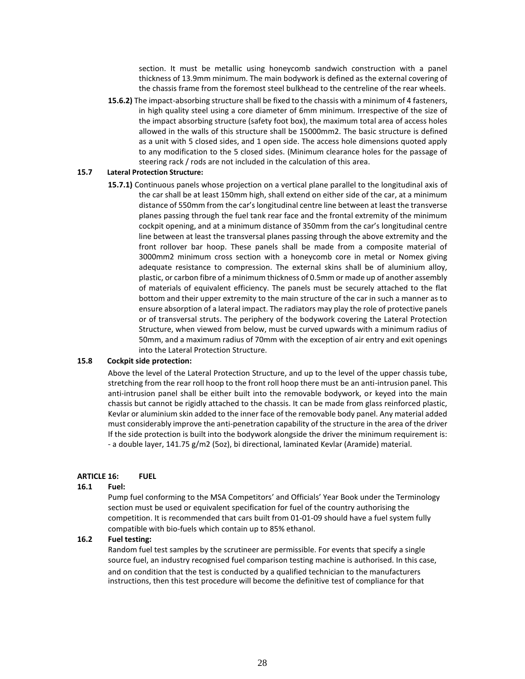section. It must be metallic using honeycomb sandwich construction with a panel thickness of 13.9mm minimum. The main bodywork is defined as the external covering of the chassis frame from the foremost steel bulkhead to the centreline of the rear wheels.

**15.6.2)** The impact-absorbing structure shall be fixed to the chassis with a minimum of 4 fasteners, in high quality steel using a core diameter of 6mm minimum. Irrespective of the size of the impact absorbing structure (safety foot box), the maximum total area of access holes allowed in the walls of this structure shall be 15000mm2. The basic structure is defined as a unit with 5 closed sides, and 1 open side. The access hole dimensions quoted apply to any modification to the 5 closed sides. (Minimum clearance holes for the passage of steering rack / rods are not included in the calculation of this area.

#### **15.7 Lateral Protection Structure:**

**15.7.1)** Continuous panels whose projection on a vertical plane parallel to the longitudinal axis of the car shall be at least 150mm high, shall extend on either side of the car, at a minimum distance of 550mm from the car's longitudinal centre line between at least the transverse planes passing through the fuel tank rear face and the frontal extremity of the minimum cockpit opening, and at a minimum distance of 350mm from the car's longitudinal centre line between at least the transversal planes passing through the above extremity and the front rollover bar hoop. These panels shall be made from a composite material of 3000mm2 minimum cross section with a honeycomb core in metal or Nomex giving adequate resistance to compression. The external skins shall be of aluminium alloy, plastic, or carbon fibre of a minimum thickness of 0.5mm or made up of another assembly of materials of equivalent efficiency. The panels must be securely attached to the flat bottom and their upper extremity to the main structure of the car in such a manner as to ensure absorption of a lateral impact. The radiators may play the role of protective panels or of transversal struts. The periphery of the bodywork covering the Lateral Protection Structure, when viewed from below, must be curved upwards with a minimum radius of 50mm, and a maximum radius of 70mm with the exception of air entry and exit openings into the Lateral Protection Structure.

#### **15.8 Cockpit side protection:**

Above the level of the Lateral Protection Structure, and up to the level of the upper chassis tube, stretching from the rear roll hoop to the front roll hoop there must be an anti-intrusion panel. This anti-intrusion panel shall be either built into the removable bodywork, or keyed into the main chassis but cannot be rigidly attached to the chassis. It can be made from glass reinforced plastic, Kevlar or aluminium skin added to the inner face of the removable body panel. Any material added must considerably improve the anti-penetration capability of the structure in the area of the driver If the side protection is built into the bodywork alongside the driver the minimum requirement is: - a double layer, 141.75 g/m2 (5oz), bi directional, laminated Kevlar (Aramide) material.

#### **ARTICLE 16: FUEL**

#### **16.1 Fuel:**

Pump fuel conforming to the MSA Competitors' and Officials' Year Book under the Terminology section must be used or equivalent specification for fuel of the country authorising the competition. It is recommended that cars built from 01-01-09 should have a fuel system fully compatible with bio-fuels which contain up to 85% ethanol.

#### **16.2 Fuel testing:**

Random fuel test samples by the scrutineer are permissible. For events that specify a single source fuel, an industry recognised fuel comparison testing machine is authorised. In this case, and on condition that the test is conducted by a qualified technician to the manufacturers instructions, then this test procedure will become the definitive test of compliance for that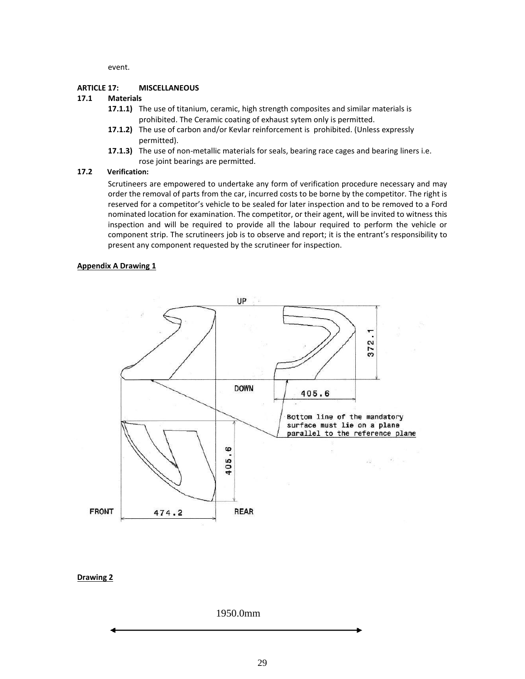event.

#### **ARTICLE 17: MISCELLANEOUS**

#### **17.1 Materials**

- **17.1.1)** The use of titanium, ceramic, high strength composites and similar materials is prohibited. The Ceramic coating of exhaust sytem only is permitted.
- **17.1.2)** The use of carbon and/or Kevlar reinforcement is prohibited. (Unless expressly permitted).
- **17.1.3)** The use of non-metallic materials for seals, bearing race cages and bearing liners i.e. rose joint bearings are permitted.

#### **17.2 Verification:**

Scrutineers are empowered to undertake any form of verification procedure necessary and may order the removal of parts from the car, incurred costs to be borne by the competitor. The right is reserved for a competitor's vehicle to be sealed for later inspection and to be removed to a Ford nominated location for examination. The competitor, or their agent, will be invited to witness this inspection and will be required to provide all the labour required to perform the vehicle or component strip. The scrutineers job is to observe and report; it is the entrant's responsibility to present any component requested by the scrutineer for inspection.

#### **Appendix A Drawing 1**



#### **Drawing 2**

1950.0mm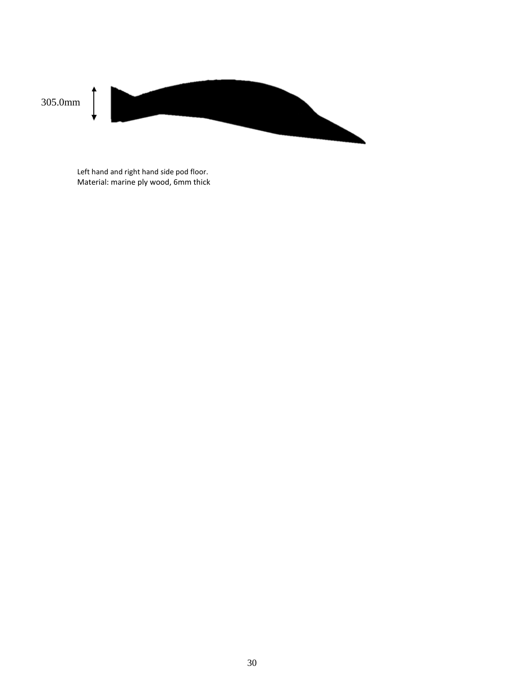

Left hand and right hand side pod floor. Material: marine ply wood, 6mm thick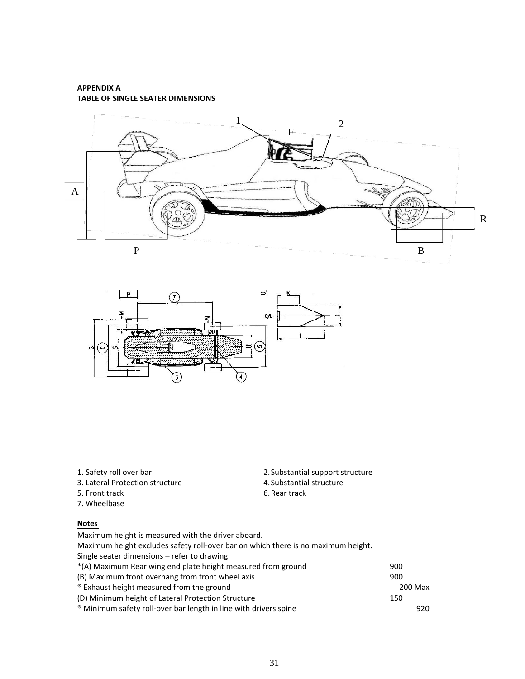#### **APPENDIX A TABLE OF SINGLE SEATER DIMENSIONS**





- 3. Lateral Protection structure<br>5. Front track 6. Rear track 6. Rear track
- 5. Front track
- 7. Wheelbase

### **Notes**

1. Safety roll over bar 2.Substantial support structure

| Maximum height is measured with the driver aboard.                                |         |
|-----------------------------------------------------------------------------------|---------|
| Maximum height excludes safety roll-over bar on which there is no maximum height. |         |
| Single seater dimensions – refer to drawing                                       |         |
| *(A) Maximum Rear wing end plate height measured from ground                      | 900     |
| (B) Maximum front overhang from front wheel axis                                  | 900     |
| <sup>®</sup> Exhaust height measured from the ground                              | 200 Max |
| (D) Minimum height of Lateral Protection Structure                                | 150     |
| <sup>®</sup> Minimum safety roll-over bar length in line with drivers spine       | 920.    |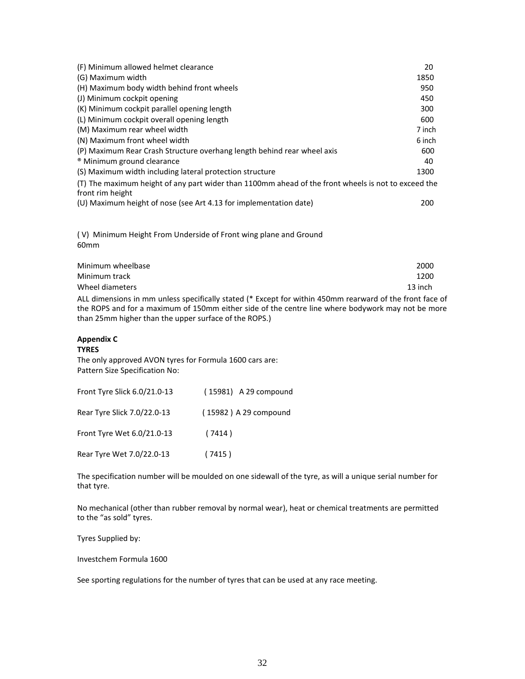| (F) Minimum allowed helmet clearance                                                                                    | 20     |
|-------------------------------------------------------------------------------------------------------------------------|--------|
| (G) Maximum width                                                                                                       | 1850   |
| (H) Maximum body width behind front wheels                                                                              | 950    |
| (J) Minimum cockpit opening                                                                                             | 450    |
| (K) Minimum cockpit parallel opening length                                                                             | 300    |
| (L) Minimum cockpit overall opening length                                                                              | 600    |
| (M) Maximum rear wheel width                                                                                            | 7 inch |
| (N) Maximum front wheel width                                                                                           | 6 inch |
| (P) Maximum Rear Crash Structure overhang length behind rear wheel axis                                                 | 600    |
| <sup>®</sup> Minimum ground clearance                                                                                   | 40     |
| (S) Maximum width including lateral protection structure                                                                | 1300   |
| (T) The maximum height of any part wider than 1100mm ahead of the front wheels is not to exceed the<br>front rim height |        |
| (U) Maximum height of nose (see Art 4.13 for implementation date)                                                       | 200    |

( V) Minimum Height From Underside of Front wing plane and Ground 60mm

| Minimum wheelbase                                                                                        | 2000    |
|----------------------------------------------------------------------------------------------------------|---------|
| Minimum track                                                                                            | 1200    |
| Wheel diameters                                                                                          | 13 inch |
| ALL dimensions in mm unless specifically stated (* Except for within 450mm rearward of the front face of |         |

the ROPS and for a maximum of 150mm either side of the centre line where bodywork may not be more than 25mm higher than the upper surface of the ROPS.)

#### **Appendix C**

#### **TYRES**

The only approved AVON tyres for Formula 1600 cars are: Pattern Size Specification No:

| Front Tyre Slick 6.0/21.0-13 | (15981) A 29 compound |
|------------------------------|-----------------------|
| Rear Tyre Slick 7.0/22.0-13  | (15982) A 29 compound |
| Front Tyre Wet 6.0/21.0-13   | (7414)                |
| Rear Tyre Wet 7.0/22.0-13    | (7415)                |

The specification number will be moulded on one sidewall of the tyre, as will a unique serial number for that tyre.

No mechanical (other than rubber removal by normal wear), heat or chemical treatments are permitted to the "as sold" tyres.

Tyres Supplied by:

Investchem Formula 1600

See sporting regulations for the number of tyres that can be used at any race meeting.